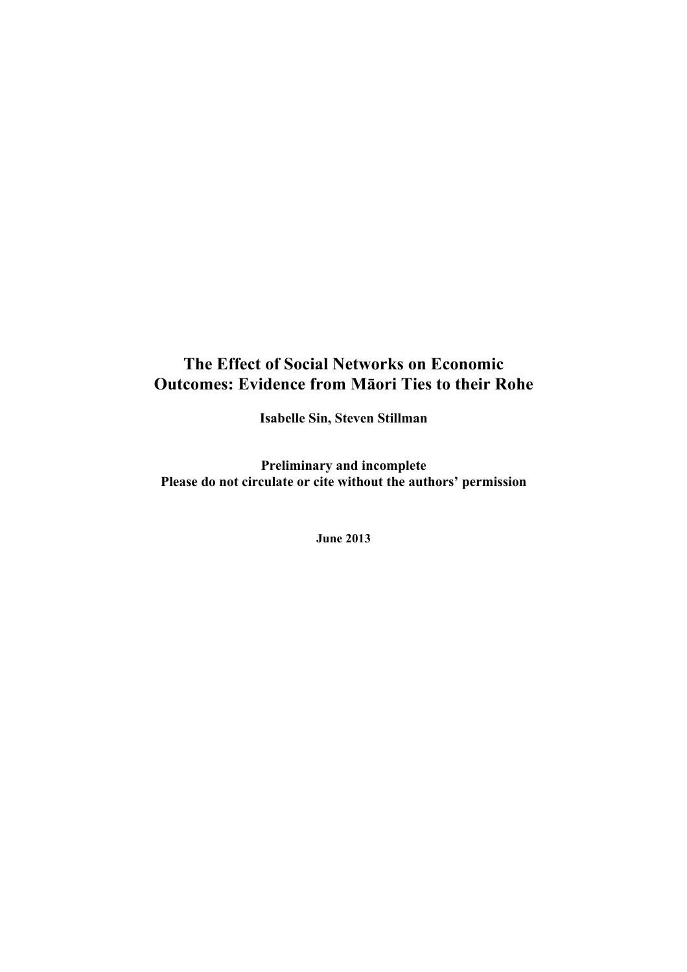# **The Effect of Social Networks on Economic Outcomes: Evidence from Māori Ties to their Rohe**

**Isabelle Sin, Steven Stillman**

**Preliminary and incomplete Please do not circulate or cite without the authors' permission**

**June 2013**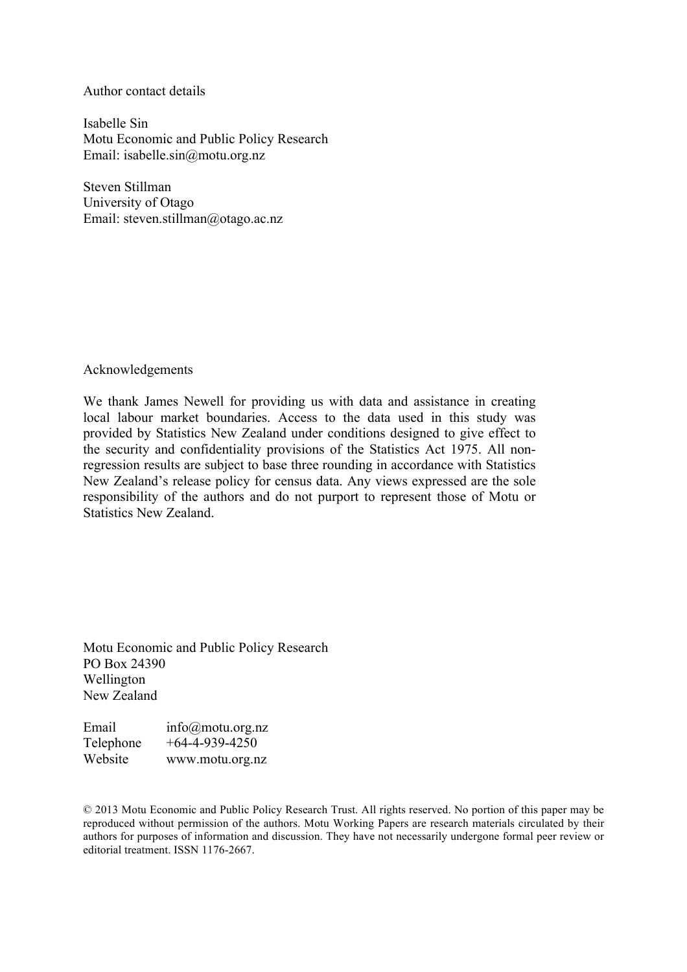Author contact details

Isabelle Sin Motu Economic and Public Policy Research Email: isabelle.sin@motu.org.nz

Steven Stillman University of Otago Email: steven.stillman@otago.ac.nz

Acknowledgements

We thank James Newell for providing us with data and assistance in creating local labour market boundaries. Access to the data used in this study was provided by Statistics New Zealand under conditions designed to give effect to the security and confidentiality provisions of the Statistics Act 1975. All nonregression results are subject to base three rounding in accordance with Statistics New Zealand's release policy for census data. Any views expressed are the sole responsibility of the authors and do not purport to represent those of Motu or Statistics New Zealand.

Motu Economic and Public Policy Research PO Box 24390 Wellington New Zealand

Email info@motu.org.nz Telephone +64-4-939-4250 Website www.motu.org.nz

© 2013 Motu Economic and Public Policy Research Trust. All rights reserved. No portion of this paper may be reproduced without permission of the authors. Motu Working Papers are research materials circulated by their authors for purposes of information and discussion. They have not necessarily undergone formal peer review or editorial treatment. ISSN 1176-2667.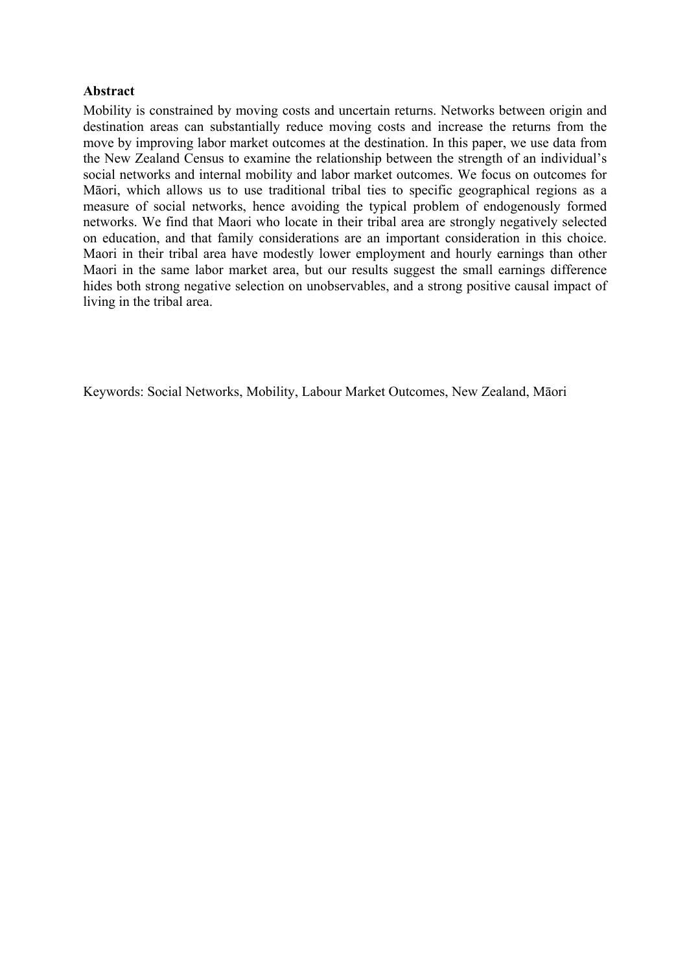### **Abstract**

Mobility is constrained by moving costs and uncertain returns. Networks between origin and destination areas can substantially reduce moving costs and increase the returns from the move by improving labor market outcomes at the destination. In this paper, we use data from the New Zealand Census to examine the relationship between the strength of an individual's social networks and internal mobility and labor market outcomes. We focus on outcomes for Māori, which allows us to use traditional tribal ties to specific geographical regions as a measure of social networks, hence avoiding the typical problem of endogenously formed networks. We find that Maori who locate in their tribal area are strongly negatively selected on education, and that family considerations are an important consideration in this choice. Maori in their tribal area have modestly lower employment and hourly earnings than other Maori in the same labor market area, but our results suggest the small earnings difference hides both strong negative selection on unobservables, and a strong positive causal impact of living in the tribal area.

Keywords: Social Networks, Mobility, Labour Market Outcomes, New Zealand, Māori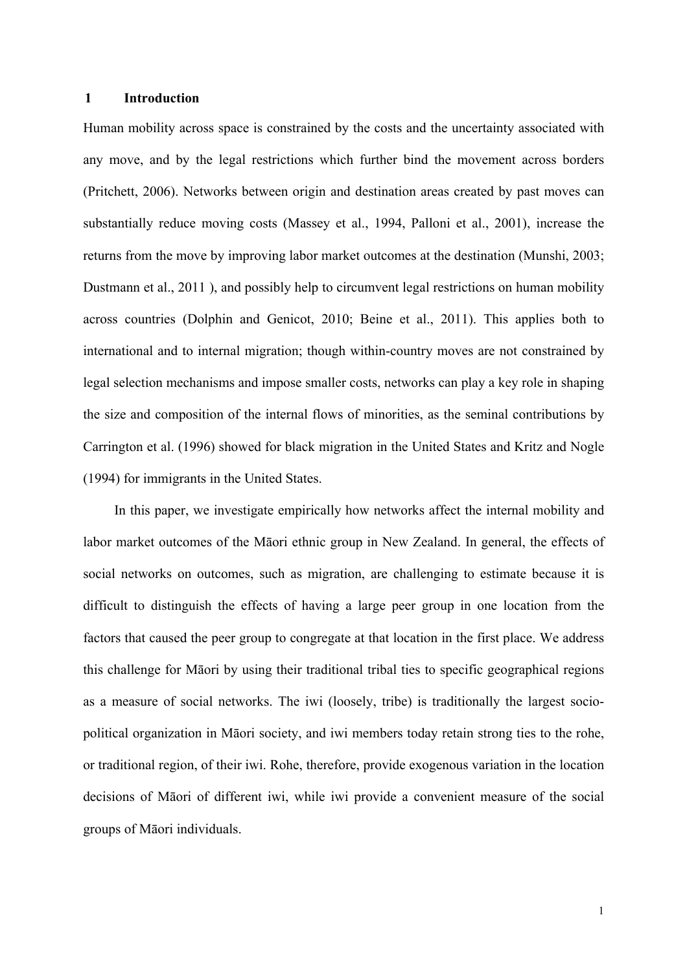#### **1 Introduction**

Human mobility across space is constrained by the costs and the uncertainty associated with any move, and by the legal restrictions which further bind the movement across borders (Pritchett, 2006). Networks between origin and destination areas created by past moves can substantially reduce moving costs (Massey et al., 1994, Palloni et al., 2001), increase the returns from the move by improving labor market outcomes at the destination (Munshi, 2003; Dustmann et al., 2011 ), and possibly help to circumvent legal restrictions on human mobility across countries (Dolphin and Genicot, 2010; Beine et al., 2011). This applies both to international and to internal migration; though within-country moves are not constrained by legal selection mechanisms and impose smaller costs, networks can play a key role in shaping the size and composition of the internal flows of minorities, as the seminal contributions by Carrington et al. (1996) showed for black migration in the United States and Kritz and Nogle (1994) for immigrants in the United States.

In this paper, we investigate empirically how networks affect the internal mobility and labor market outcomes of the Māori ethnic group in New Zealand. In general, the effects of social networks on outcomes, such as migration, are challenging to estimate because it is difficult to distinguish the effects of having a large peer group in one location from the factors that caused the peer group to congregate at that location in the first place. We address this challenge for Māori by using their traditional tribal ties to specific geographical regions as a measure of social networks. The iwi (loosely, tribe) is traditionally the largest sociopolitical organization in Māori society, and iwi members today retain strong ties to the rohe, or traditional region, of their iwi. Rohe, therefore, provide exogenous variation in the location decisions of Māori of different iwi, while iwi provide a convenient measure of the social groups of Māori individuals.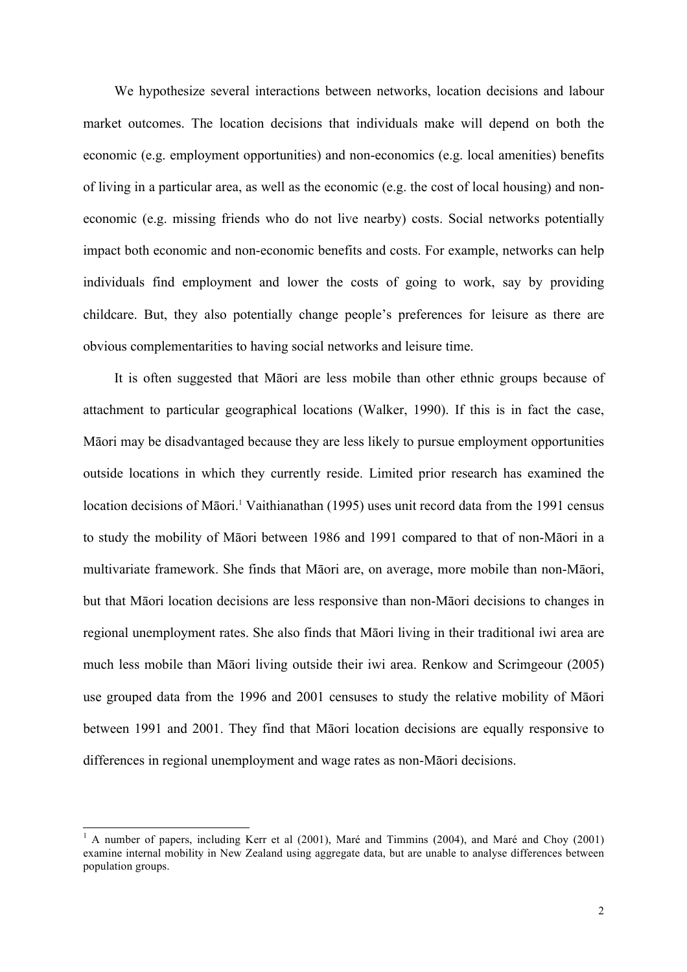We hypothesize several interactions between networks, location decisions and labour market outcomes. The location decisions that individuals make will depend on both the economic (e.g. employment opportunities) and non-economics (e.g. local amenities) benefits of living in a particular area, as well as the economic (e.g. the cost of local housing) and noneconomic (e.g. missing friends who do not live nearby) costs. Social networks potentially impact both economic and non-economic benefits and costs. For example, networks can help individuals find employment and lower the costs of going to work, say by providing childcare. But, they also potentially change people's preferences for leisure as there are obvious complementarities to having social networks and leisure time.

It is often suggested that Māori are less mobile than other ethnic groups because of attachment to particular geographical locations (Walker, 1990). If this is in fact the case, Māori may be disadvantaged because they are less likely to pursue employment opportunities outside locations in which they currently reside. Limited prior research has examined the location decisions of Māori.<sup>1</sup> Vaithianathan (1995) uses unit record data from the 1991 census to study the mobility of Māori between 1986 and 1991 compared to that of non-Māori in a multivariate framework. She finds that Māori are, on average, more mobile than non-Māori, but that Māori location decisions are less responsive than non-Māori decisions to changes in regional unemployment rates. She also finds that Māori living in their traditional iwi area are much less mobile than Māori living outside their iwi area. Renkow and Scrimgeour (2005) use grouped data from the 1996 and 2001 censuses to study the relative mobility of Māori between 1991 and 2001. They find that Māori location decisions are equally responsive to differences in regional unemployment and wage rates as non-Māori decisions.

<sup>&</sup>lt;sup>1</sup> A number of papers, including Kerr et al (2001), Maré and Timmins (2004), and Maré and Choy (2001) examine internal mobility in New Zealand using aggregate data, but are unable to analyse differences between population groups.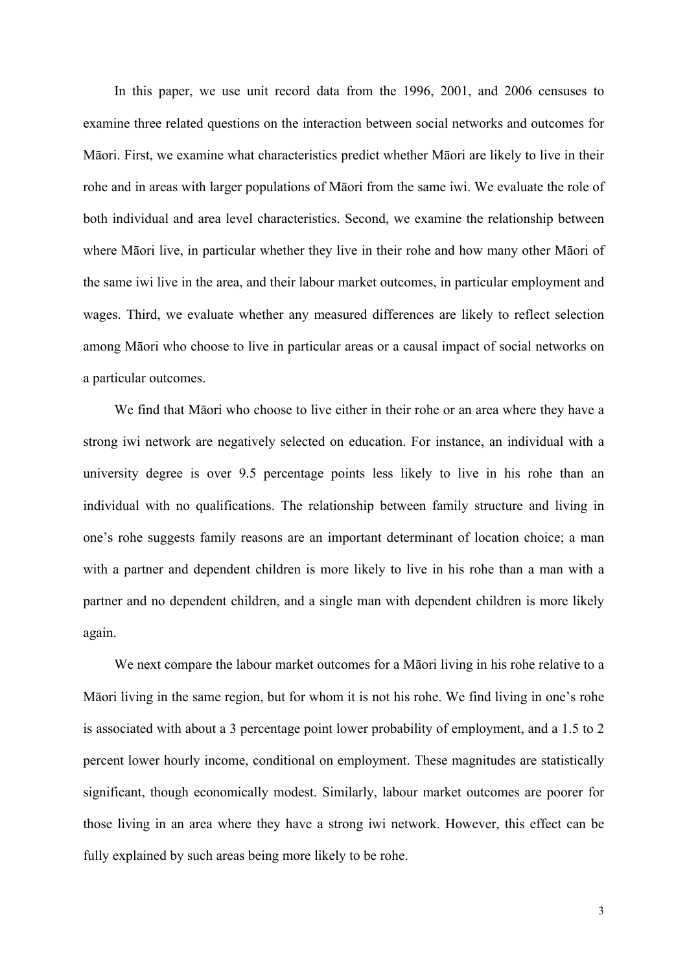In this paper, we use unit record data from the 1996, 2001, and 2006 censuses to examine three related questions on the interaction between social networks and outcomes for Māori. First, we examine what characteristics predict whether Māori are likely to live in their rohe and in areas with larger populations of Māori from the same iwi. We evaluate the role of both individual and area level characteristics. Second, we examine the relationship between where Māori live, in particular whether they live in their rohe and how many other Māori of the same iwi live in the area, and their labour market outcomes, in particular employment and wages. Third, we evaluate whether any measured differences are likely to reflect selection among Māori who choose to live in particular areas or a causal impact of social networks on a particular outcomes.

We find that Māori who choose to live either in their rohe or an area where they have a strong iwi network are negatively selected on education. For instance, an individual with a university degree is over 9.5 percentage points less likely to live in his rohe than an individual with no qualifications. The relationship between family structure and living in one's rohe suggests family reasons are an important determinant of location choice; a man with a partner and dependent children is more likely to live in his rohe than a man with a partner and no dependent children, and a single man with dependent children is more likely again.

We next compare the labour market outcomes for a Māori living in his rohe relative to a Māori living in the same region, but for whom it is not his rohe. We find living in one's rohe is associated with about a 3 percentage point lower probability of employment, and a 1.5 to 2 percent lower hourly income, conditional on employment. These magnitudes are statistically significant, though economically modest. Similarly, labour market outcomes are poorer for those living in an area where they have a strong iwi network. However, this effect can be fully explained by such areas being more likely to be rohe.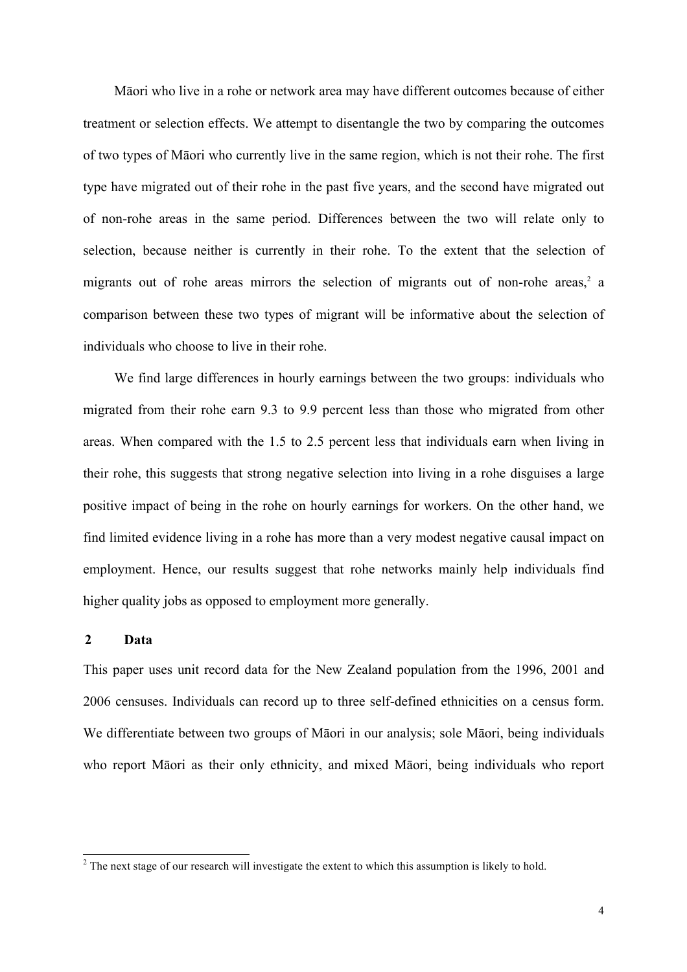Māori who live in a rohe or network area may have different outcomes because of either treatment or selection effects. We attempt to disentangle the two by comparing the outcomes of two types of Māori who currently live in the same region, which is not their rohe. The first type have migrated out of their rohe in the past five years, and the second have migrated out of non-rohe areas in the same period. Differences between the two will relate only to selection, because neither is currently in their rohe. To the extent that the selection of migrants out of rohe areas mirrors the selection of migrants out of non-rohe areas, $2$  a comparison between these two types of migrant will be informative about the selection of individuals who choose to live in their rohe.

We find large differences in hourly earnings between the two groups: individuals who migrated from their rohe earn 9.3 to 9.9 percent less than those who migrated from other areas. When compared with the 1.5 to 2.5 percent less that individuals earn when living in their rohe, this suggests that strong negative selection into living in a rohe disguises a large positive impact of being in the rohe on hourly earnings for workers. On the other hand, we find limited evidence living in a rohe has more than a very modest negative causal impact on employment. Hence, our results suggest that rohe networks mainly help individuals find higher quality jobs as opposed to employment more generally.

#### **2 Data**

This paper uses unit record data for the New Zealand population from the 1996, 2001 and 2006 censuses. Individuals can record up to three self-defined ethnicities on a census form. We differentiate between two groups of Māori in our analysis; sole Māori, being individuals who report Māori as their only ethnicity, and mixed Māori, being individuals who report

<sup>&</sup>lt;sup>2</sup> The next stage of our research will investigate the extent to which this assumption is likely to hold.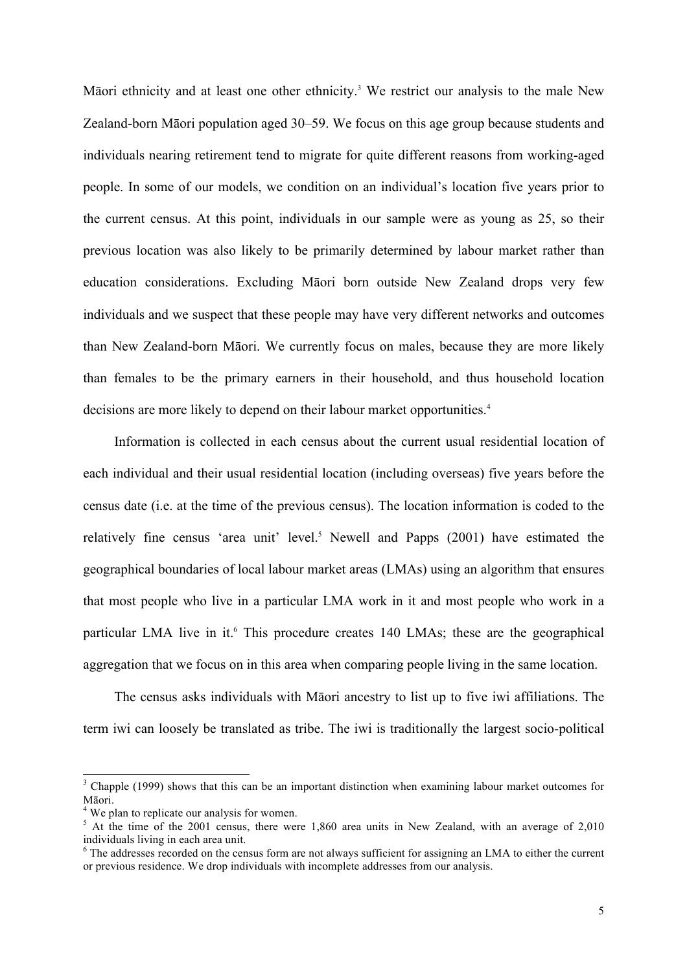Māori ethnicity and at least one other ethnicity.<sup>3</sup> We restrict our analysis to the male New Zealand-born Māori population aged 30–59. We focus on this age group because students and individuals nearing retirement tend to migrate for quite different reasons from working-aged people. In some of our models, we condition on an individual's location five years prior to the current census. At this point, individuals in our sample were as young as 25, so their previous location was also likely to be primarily determined by labour market rather than education considerations. Excluding Māori born outside New Zealand drops very few individuals and we suspect that these people may have very different networks and outcomes than New Zealand-born Māori. We currently focus on males, because they are more likely than females to be the primary earners in their household, and thus household location decisions are more likely to depend on their labour market opportunities.<sup>4</sup>

Information is collected in each census about the current usual residential location of each individual and their usual residential location (including overseas) five years before the census date (i.e. at the time of the previous census). The location information is coded to the relatively fine census 'area unit' level.<sup>5</sup> Newell and Papps (2001) have estimated the geographical boundaries of local labour market areas (LMAs) using an algorithm that ensures that most people who live in a particular LMA work in it and most people who work in a particular LMA live in it.<sup>6</sup> This procedure creates 140 LMAs; these are the geographical aggregation that we focus on in this area when comparing people living in the same location.

The census asks individuals with Māori ancestry to list up to five iwi affiliations. The term iwi can loosely be translated as tribe. The iwi is traditionally the largest socio-political

<sup>&</sup>lt;sup>3</sup> Chapple (1999) shows that this can be an important distinction when examining labour market outcomes for Māori.<br><sup>4</sup> We plan to replicate our analysis for women.<br><sup>5</sup> At the time of the 2001 census, there were 1,860 area units in New Zealand, with an average of 2,010

individuals living in each area unit.

<sup>&</sup>lt;sup>6</sup> The addresses recorded on the census form are not always sufficient for assigning an LMA to either the current or previous residence. We drop individuals with incomplete addresses from our analysis.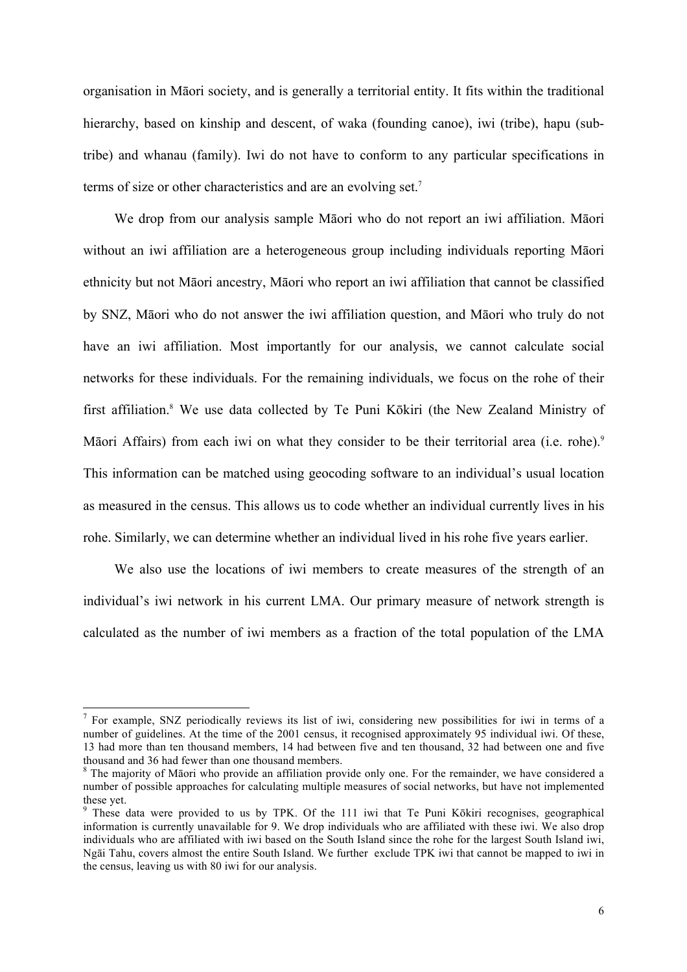organisation in Māori society, and is generally a territorial entity. It fits within the traditional hierarchy, based on kinship and descent, of waka (founding canoe), iwi (tribe), hapu (subtribe) and whanau (family). Iwi do not have to conform to any particular specifications in terms of size or other characteristics and are an evolving set.<sup>7</sup>

We drop from our analysis sample Māori who do not report an iwi affiliation. Māori without an iwi affiliation are a heterogeneous group including individuals reporting Māori ethnicity but not Māori ancestry, Māori who report an iwi affiliation that cannot be classified by SNZ, Māori who do not answer the iwi affiliation question, and Māori who truly do not have an iwi affiliation. Most importantly for our analysis, we cannot calculate social networks for these individuals. For the remaining individuals, we focus on the rohe of their first affiliation.8 We use data collected by Te Puni Kōkiri (the New Zealand Ministry of Māori Affairs) from each iwi on what they consider to be their territorial area (i.e. rohe).<sup>9</sup> This information can be matched using geocoding software to an individual's usual location as measured in the census. This allows us to code whether an individual currently lives in his rohe. Similarly, we can determine whether an individual lived in his rohe five years earlier.

We also use the locations of iwi members to create measures of the strength of an individual's iwi network in his current LMA. Our primary measure of network strength is calculated as the number of iwi members as a fraction of the total population of the LMA

<sup>&</sup>lt;sup>7</sup> For example, SNZ periodically reviews its list of iwi, considering new possibilities for iwi in terms of a number of guidelines. At the time of the 2001 census, it recognised approximately 95 individual iwi. Of these, 13 had more than ten thousand members, 14 had between five and ten thousand, 32 had between one and five thousand and 36 had fewer than one thousand members.

<sup>&</sup>lt;sup>8</sup> The majority of Māori who provide an affiliation provide only one. For the remainder, we have considered a number of possible approaches for calculating multiple measures of social networks, but have not implemented these yet.

<sup>&</sup>lt;sup>9</sup> These data were provided to us by TPK. Of the 111 iwi that Te Puni Kōkiri recognises, geographical information is currently unavailable for 9. We drop individuals who are affiliated with these iwi. We also drop individuals who are affiliated with iwi based on the South Island since the rohe for the largest South Island iwi, Ngāi Tahu, covers almost the entire South Island. We further exclude TPK iwi that cannot be mapped to iwi in the census, leaving us with 80 iwi for our analysis.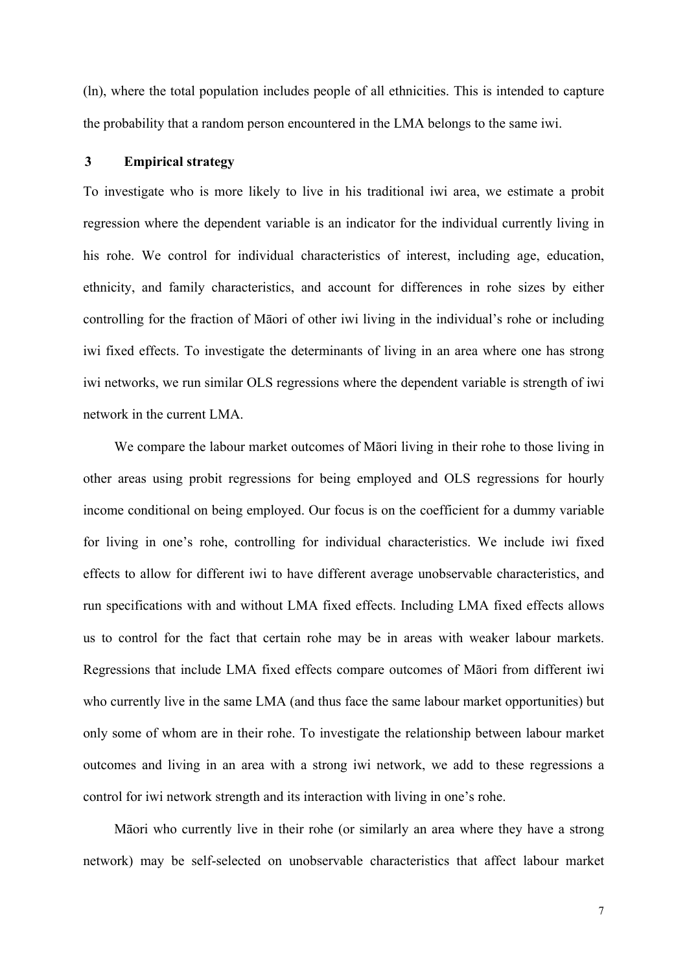(ln), where the total population includes people of all ethnicities. This is intended to capture the probability that a random person encountered in the LMA belongs to the same iwi.

### **3 Empirical strategy**

To investigate who is more likely to live in his traditional iwi area, we estimate a probit regression where the dependent variable is an indicator for the individual currently living in his rohe. We control for individual characteristics of interest, including age, education, ethnicity, and family characteristics, and account for differences in rohe sizes by either controlling for the fraction of Māori of other iwi living in the individual's rohe or including iwi fixed effects. To investigate the determinants of living in an area where one has strong iwi networks, we run similar OLS regressions where the dependent variable is strength of iwi network in the current LMA.

We compare the labour market outcomes of Māori living in their rohe to those living in other areas using probit regressions for being employed and OLS regressions for hourly income conditional on being employed. Our focus is on the coefficient for a dummy variable for living in one's rohe, controlling for individual characteristics. We include iwi fixed effects to allow for different iwi to have different average unobservable characteristics, and run specifications with and without LMA fixed effects. Including LMA fixed effects allows us to control for the fact that certain rohe may be in areas with weaker labour markets. Regressions that include LMA fixed effects compare outcomes of Māori from different iwi who currently live in the same LMA (and thus face the same labour market opportunities) but only some of whom are in their rohe. To investigate the relationship between labour market outcomes and living in an area with a strong iwi network, we add to these regressions a control for iwi network strength and its interaction with living in one's rohe.

Māori who currently live in their rohe (or similarly an area where they have a strong network) may be self-selected on unobservable characteristics that affect labour market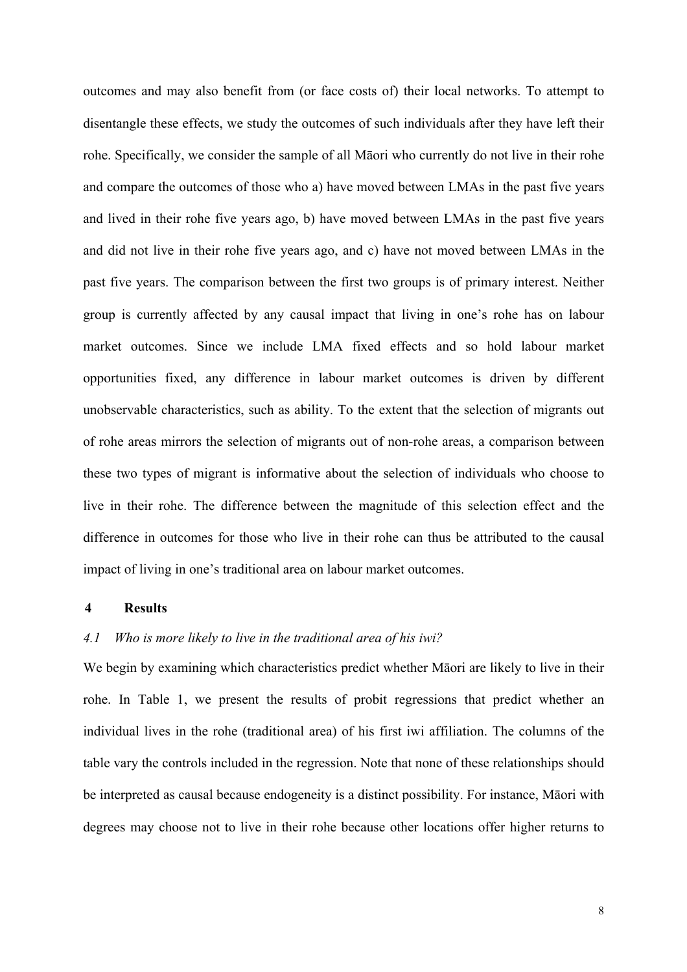outcomes and may also benefit from (or face costs of) their local networks. To attempt to disentangle these effects, we study the outcomes of such individuals after they have left their rohe. Specifically, we consider the sample of all Māori who currently do not live in their rohe and compare the outcomes of those who a) have moved between LMAs in the past five years and lived in their rohe five years ago, b) have moved between LMAs in the past five years and did not live in their rohe five years ago, and c) have not moved between LMAs in the past five years. The comparison between the first two groups is of primary interest. Neither group is currently affected by any causal impact that living in one's rohe has on labour market outcomes. Since we include LMA fixed effects and so hold labour market opportunities fixed, any difference in labour market outcomes is driven by different unobservable characteristics, such as ability. To the extent that the selection of migrants out of rohe areas mirrors the selection of migrants out of non-rohe areas, a comparison between these two types of migrant is informative about the selection of individuals who choose to live in their rohe. The difference between the magnitude of this selection effect and the difference in outcomes for those who live in their rohe can thus be attributed to the causal impact of living in one's traditional area on labour market outcomes.

#### **4 Results**

# *4.1 Who is more likely to live in the traditional area of his iwi?*

We begin by examining which characteristics predict whether Māori are likely to live in their rohe. In Table 1, we present the results of probit regressions that predict whether an individual lives in the rohe (traditional area) of his first iwi affiliation. The columns of the table vary the controls included in the regression. Note that none of these relationships should be interpreted as causal because endogeneity is a distinct possibility. For instance, Māori with degrees may choose not to live in their rohe because other locations offer higher returns to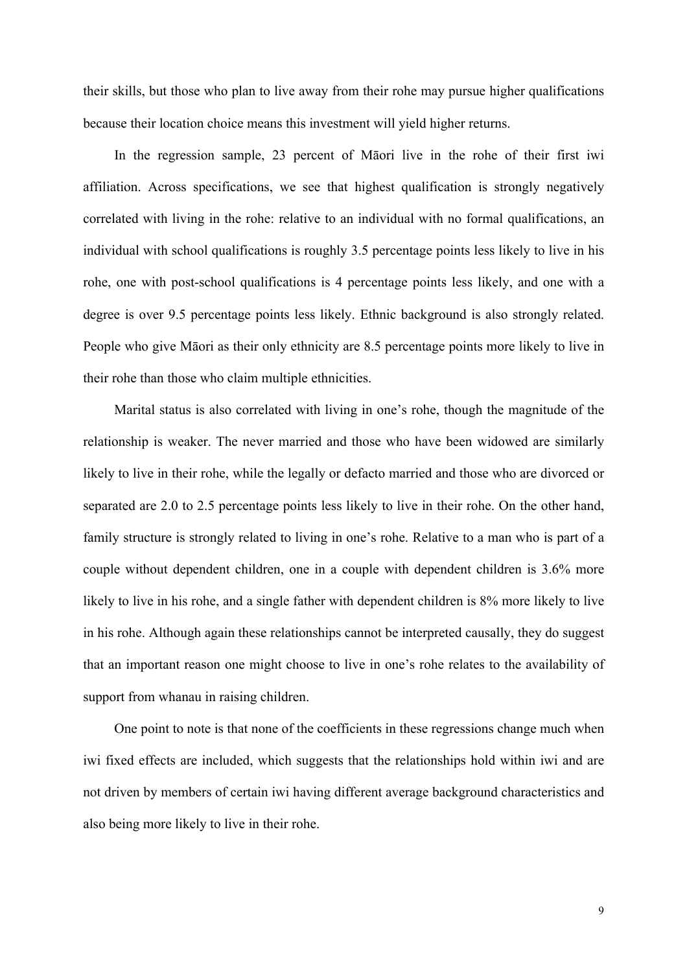their skills, but those who plan to live away from their rohe may pursue higher qualifications because their location choice means this investment will yield higher returns.

In the regression sample, 23 percent of Māori live in the rohe of their first iwi affiliation. Across specifications, we see that highest qualification is strongly negatively correlated with living in the rohe: relative to an individual with no formal qualifications, an individual with school qualifications is roughly 3.5 percentage points less likely to live in his rohe, one with post-school qualifications is 4 percentage points less likely, and one with a degree is over 9.5 percentage points less likely. Ethnic background is also strongly related. People who give Māori as their only ethnicity are 8.5 percentage points more likely to live in their rohe than those who claim multiple ethnicities.

Marital status is also correlated with living in one's rohe, though the magnitude of the relationship is weaker. The never married and those who have been widowed are similarly likely to live in their rohe, while the legally or defacto married and those who are divorced or separated are 2.0 to 2.5 percentage points less likely to live in their rohe. On the other hand, family structure is strongly related to living in one's rohe. Relative to a man who is part of a couple without dependent children, one in a couple with dependent children is 3.6% more likely to live in his rohe, and a single father with dependent children is 8% more likely to live in his rohe. Although again these relationships cannot be interpreted causally, they do suggest that an important reason one might choose to live in one's rohe relates to the availability of support from whanau in raising children.

One point to note is that none of the coefficients in these regressions change much when iwi fixed effects are included, which suggests that the relationships hold within iwi and are not driven by members of certain iwi having different average background characteristics and also being more likely to live in their rohe.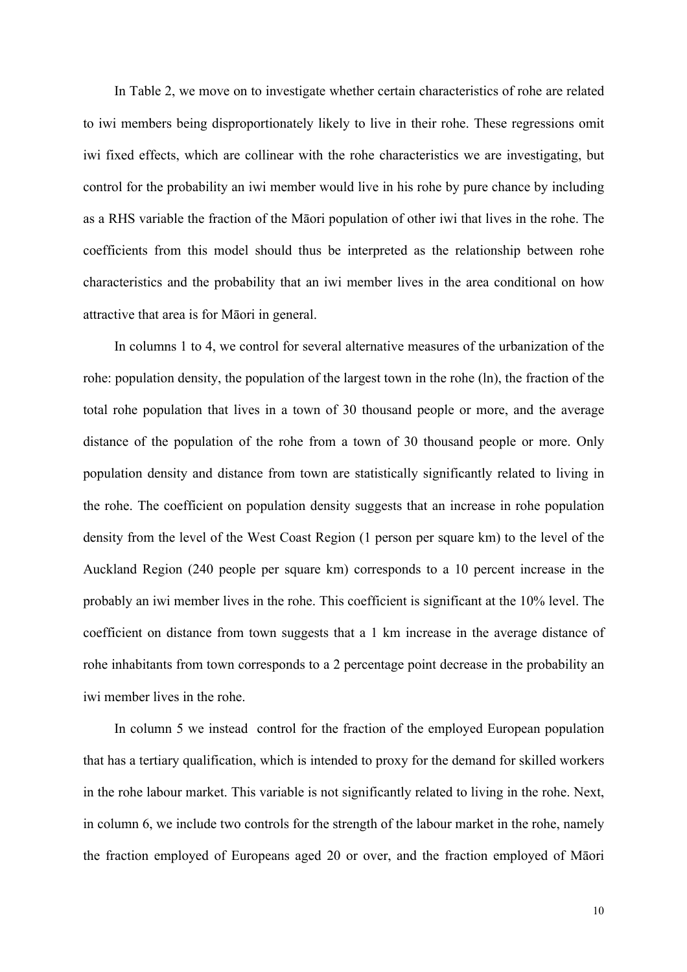In Table 2, we move on to investigate whether certain characteristics of rohe are related to iwi members being disproportionately likely to live in their rohe. These regressions omit iwi fixed effects, which are collinear with the rohe characteristics we are investigating, but control for the probability an iwi member would live in his rohe by pure chance by including as a RHS variable the fraction of the Māori population of other iwi that lives in the rohe. The coefficients from this model should thus be interpreted as the relationship between rohe characteristics and the probability that an iwi member lives in the area conditional on how attractive that area is for Māori in general.

In columns 1 to 4, we control for several alternative measures of the urbanization of the rohe: population density, the population of the largest town in the rohe (ln), the fraction of the total rohe population that lives in a town of 30 thousand people or more, and the average distance of the population of the rohe from a town of 30 thousand people or more. Only population density and distance from town are statistically significantly related to living in the rohe. The coefficient on population density suggests that an increase in rohe population density from the level of the West Coast Region (1 person per square km) to the level of the Auckland Region (240 people per square km) corresponds to a 10 percent increase in the probably an iwi member lives in the rohe. This coefficient is significant at the 10% level. The coefficient on distance from town suggests that a 1 km increase in the average distance of rohe inhabitants from town corresponds to a 2 percentage point decrease in the probability an iwi member lives in the rohe.

In column 5 we instead control for the fraction of the employed European population that has a tertiary qualification, which is intended to proxy for the demand for skilled workers in the rohe labour market. This variable is not significantly related to living in the rohe. Next, in column 6, we include two controls for the strength of the labour market in the rohe, namely the fraction employed of Europeans aged 20 or over, and the fraction employed of Māori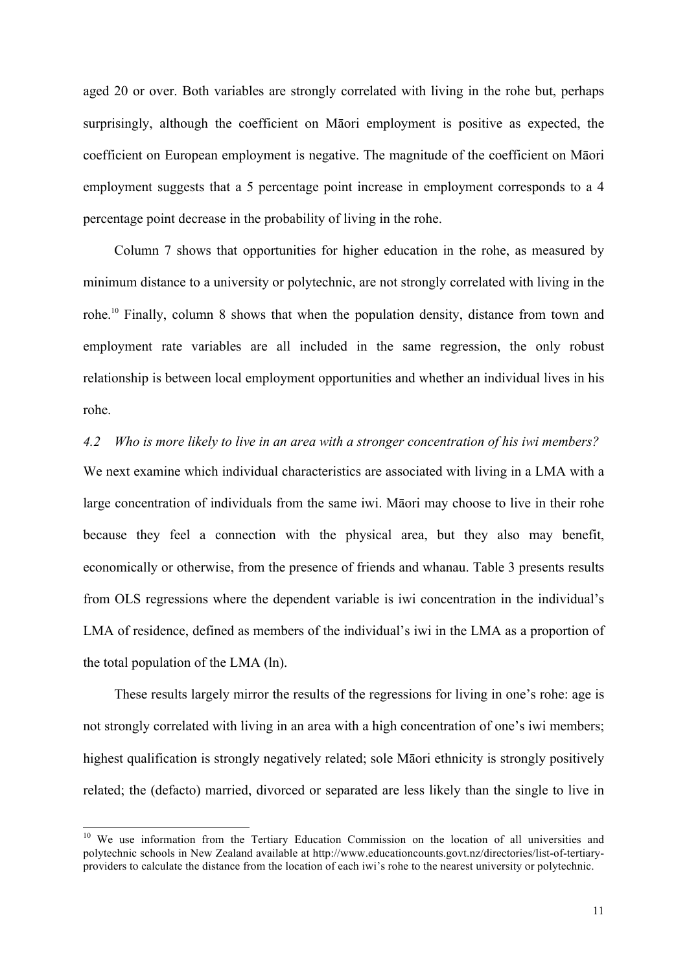aged 20 or over. Both variables are strongly correlated with living in the rohe but, perhaps surprisingly, although the coefficient on Māori employment is positive as expected, the coefficient on European employment is negative. The magnitude of the coefficient on Māori employment suggests that a 5 percentage point increase in employment corresponds to a 4 percentage point decrease in the probability of living in the rohe.

Column 7 shows that opportunities for higher education in the rohe, as measured by minimum distance to a university or polytechnic, are not strongly correlated with living in the rohe.10 Finally, column 8 shows that when the population density, distance from town and employment rate variables are all included in the same regression, the only robust relationship is between local employment opportunities and whether an individual lives in his rohe.

*4.2 Who is more likely to live in an area with a stronger concentration of his iwi members?* We next examine which individual characteristics are associated with living in a LMA with a large concentration of individuals from the same iwi. Māori may choose to live in their rohe because they feel a connection with the physical area, but they also may benefit, economically or otherwise, from the presence of friends and whanau. Table 3 presents results from OLS regressions where the dependent variable is iwi concentration in the individual's LMA of residence, defined as members of the individual's iwi in the LMA as a proportion of the total population of the LMA (ln).

These results largely mirror the results of the regressions for living in one's rohe: age is not strongly correlated with living in an area with a high concentration of one's iwi members; highest qualification is strongly negatively related; sole Māori ethnicity is strongly positively related; the (defacto) married, divorced or separated are less likely than the single to live in

<sup>&</sup>lt;sup>10</sup> We use information from the Tertiary Education Commission on the location of all universities and polytechnic schools in New Zealand available at http://www.educationcounts.govt.nz/directories/list-of-tertiaryproviders to calculate the distance from the location of each iwi's rohe to the nearest university or polytechnic.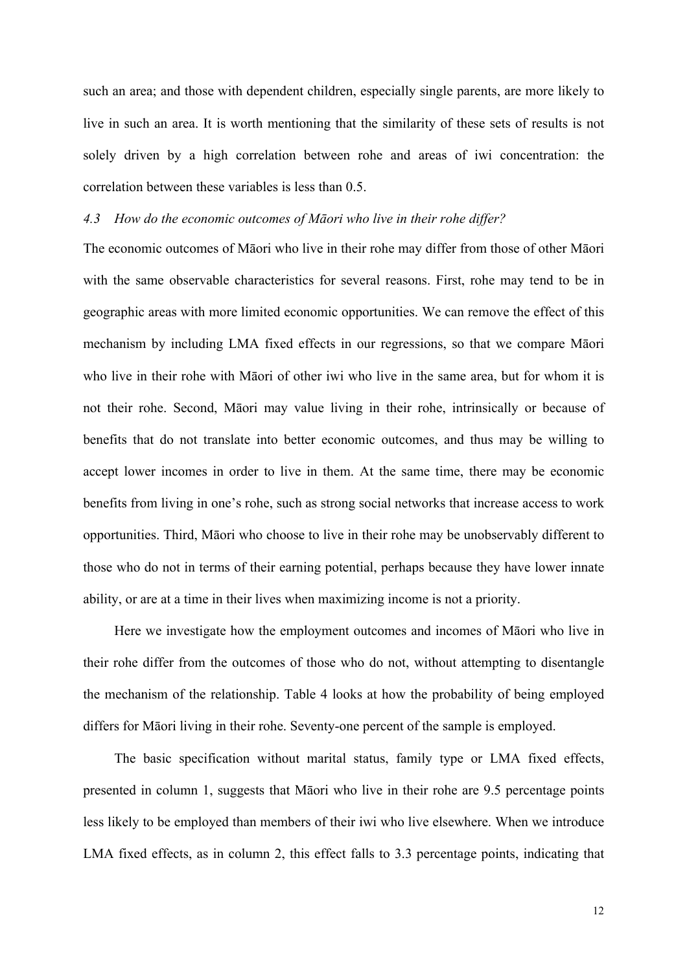such an area; and those with dependent children, especially single parents, are more likely to live in such an area. It is worth mentioning that the similarity of these sets of results is not solely driven by a high correlation between rohe and areas of iwi concentration: the correlation between these variables is less than 0.5.

# *4.3 How do the economic outcomes of Māori who live in their rohe differ?*

The economic outcomes of Māori who live in their rohe may differ from those of other Māori with the same observable characteristics for several reasons. First, rohe may tend to be in geographic areas with more limited economic opportunities. We can remove the effect of this mechanism by including LMA fixed effects in our regressions, so that we compare Māori who live in their rohe with Māori of other iwi who live in the same area, but for whom it is not their rohe. Second, Māori may value living in their rohe, intrinsically or because of benefits that do not translate into better economic outcomes, and thus may be willing to accept lower incomes in order to live in them. At the same time, there may be economic benefits from living in one's rohe, such as strong social networks that increase access to work opportunities. Third, Māori who choose to live in their rohe may be unobservably different to those who do not in terms of their earning potential, perhaps because they have lower innate ability, or are at a time in their lives when maximizing income is not a priority.

Here we investigate how the employment outcomes and incomes of Māori who live in their rohe differ from the outcomes of those who do not, without attempting to disentangle the mechanism of the relationship. Table 4 looks at how the probability of being employed differs for Māori living in their rohe. Seventy-one percent of the sample is employed.

The basic specification without marital status, family type or LMA fixed effects, presented in column 1, suggests that Māori who live in their rohe are 9.5 percentage points less likely to be employed than members of their iwi who live elsewhere. When we introduce LMA fixed effects, as in column 2, this effect falls to 3.3 percentage points, indicating that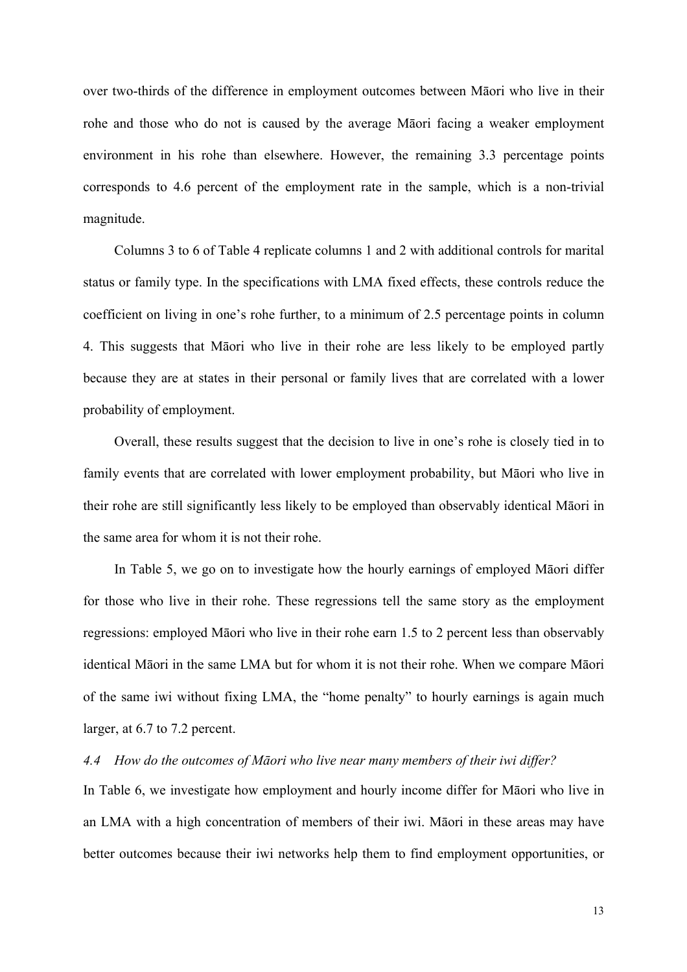over two-thirds of the difference in employment outcomes between Māori who live in their rohe and those who do not is caused by the average Māori facing a weaker employment environment in his rohe than elsewhere. However, the remaining 3.3 percentage points corresponds to 4.6 percent of the employment rate in the sample, which is a non-trivial magnitude.

Columns 3 to 6 of Table 4 replicate columns 1 and 2 with additional controls for marital status or family type. In the specifications with LMA fixed effects, these controls reduce the coefficient on living in one's rohe further, to a minimum of 2.5 percentage points in column 4. This suggests that Māori who live in their rohe are less likely to be employed partly because they are at states in their personal or family lives that are correlated with a lower probability of employment.

Overall, these results suggest that the decision to live in one's rohe is closely tied in to family events that are correlated with lower employment probability, but Māori who live in their rohe are still significantly less likely to be employed than observably identical Māori in the same area for whom it is not their rohe.

In Table 5, we go on to investigate how the hourly earnings of employed Māori differ for those who live in their rohe. These regressions tell the same story as the employment regressions: employed Māori who live in their rohe earn 1.5 to 2 percent less than observably identical Māori in the same LMA but for whom it is not their rohe. When we compare Māori of the same iwi without fixing LMA, the "home penalty" to hourly earnings is again much larger, at 6.7 to 7.2 percent.

# *4.4 How do the outcomes of Māori who live near many members of their iwi differ?*

In Table 6, we investigate how employment and hourly income differ for Māori who live in an LMA with a high concentration of members of their iwi. Māori in these areas may have better outcomes because their iwi networks help them to find employment opportunities, or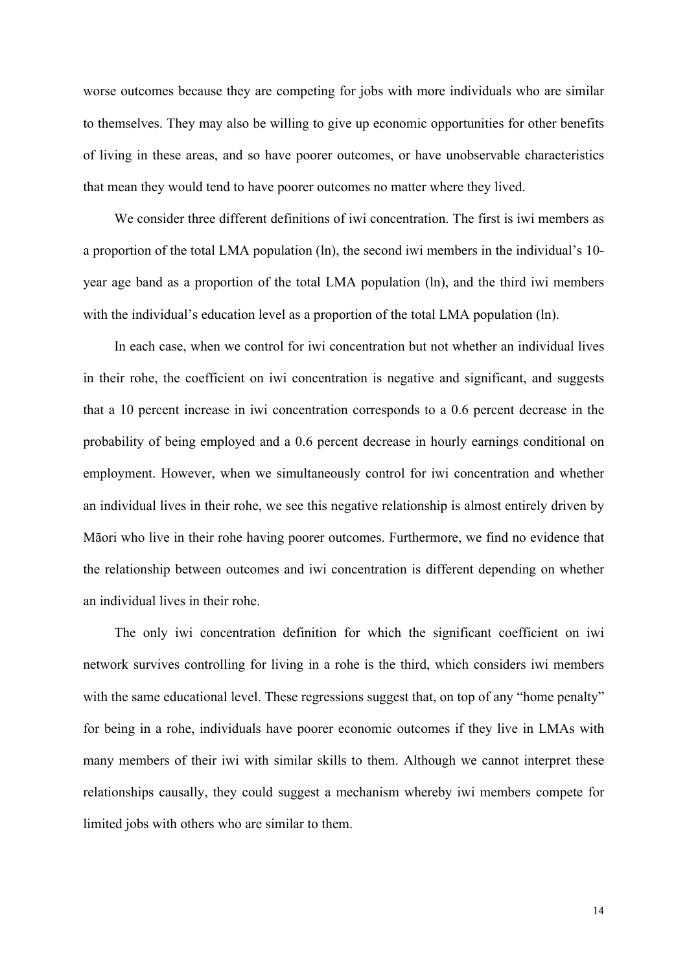worse outcomes because they are competing for jobs with more individuals who are similar to themselves. They may also be willing to give up economic opportunities for other benefits of living in these areas, and so have poorer outcomes, or have unobservable characteristics that mean they would tend to have poorer outcomes no matter where they lived.

We consider three different definitions of iwi concentration. The first is iwi members as a proportion of the total LMA population (ln), the second iwi members in the individual's 10 year age band as a proportion of the total LMA population (ln), and the third iwi members with the individual's education level as a proportion of the total LMA population (ln).

In each case, when we control for iwi concentration but not whether an individual lives in their rohe, the coefficient on iwi concentration is negative and significant, and suggests that a 10 percent increase in iwi concentration corresponds to a 0.6 percent decrease in the probability of being employed and a 0.6 percent decrease in hourly earnings conditional on employment. However, when we simultaneously control for iwi concentration and whether an individual lives in their rohe, we see this negative relationship is almost entirely driven by Māori who live in their rohe having poorer outcomes. Furthermore, we find no evidence that the relationship between outcomes and iwi concentration is different depending on whether an individual lives in their rohe.

The only iwi concentration definition for which the significant coefficient on iwi network survives controlling for living in a rohe is the third, which considers iwi members with the same educational level. These regressions suggest that, on top of any "home penalty" for being in a rohe, individuals have poorer economic outcomes if they live in LMAs with many members of their iwi with similar skills to them. Although we cannot interpret these relationships causally, they could suggest a mechanism whereby iwi members compete for limited jobs with others who are similar to them.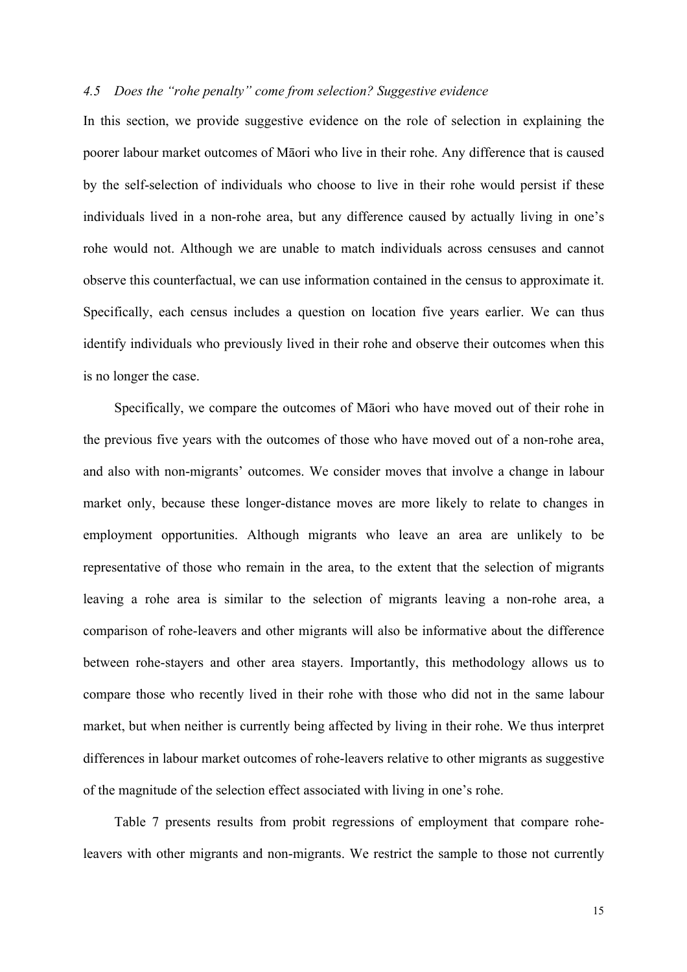# *4.5 Does the "rohe penalty" come from selection? Suggestive evidence*

In this section, we provide suggestive evidence on the role of selection in explaining the poorer labour market outcomes of Māori who live in their rohe. Any difference that is caused by the self-selection of individuals who choose to live in their rohe would persist if these individuals lived in a non-rohe area, but any difference caused by actually living in one's rohe would not. Although we are unable to match individuals across censuses and cannot observe this counterfactual, we can use information contained in the census to approximate it. Specifically, each census includes a question on location five years earlier. We can thus identify individuals who previously lived in their rohe and observe their outcomes when this is no longer the case.

Specifically, we compare the outcomes of Māori who have moved out of their rohe in the previous five years with the outcomes of those who have moved out of a non-rohe area, and also with non-migrants' outcomes. We consider moves that involve a change in labour market only, because these longer-distance moves are more likely to relate to changes in employment opportunities. Although migrants who leave an area are unlikely to be representative of those who remain in the area, to the extent that the selection of migrants leaving a rohe area is similar to the selection of migrants leaving a non-rohe area, a comparison of rohe-leavers and other migrants will also be informative about the difference between rohe-stayers and other area stayers. Importantly, this methodology allows us to compare those who recently lived in their rohe with those who did not in the same labour market, but when neither is currently being affected by living in their rohe. We thus interpret differences in labour market outcomes of rohe-leavers relative to other migrants as suggestive of the magnitude of the selection effect associated with living in one's rohe.

Table 7 presents results from probit regressions of employment that compare roheleavers with other migrants and non-migrants. We restrict the sample to those not currently

15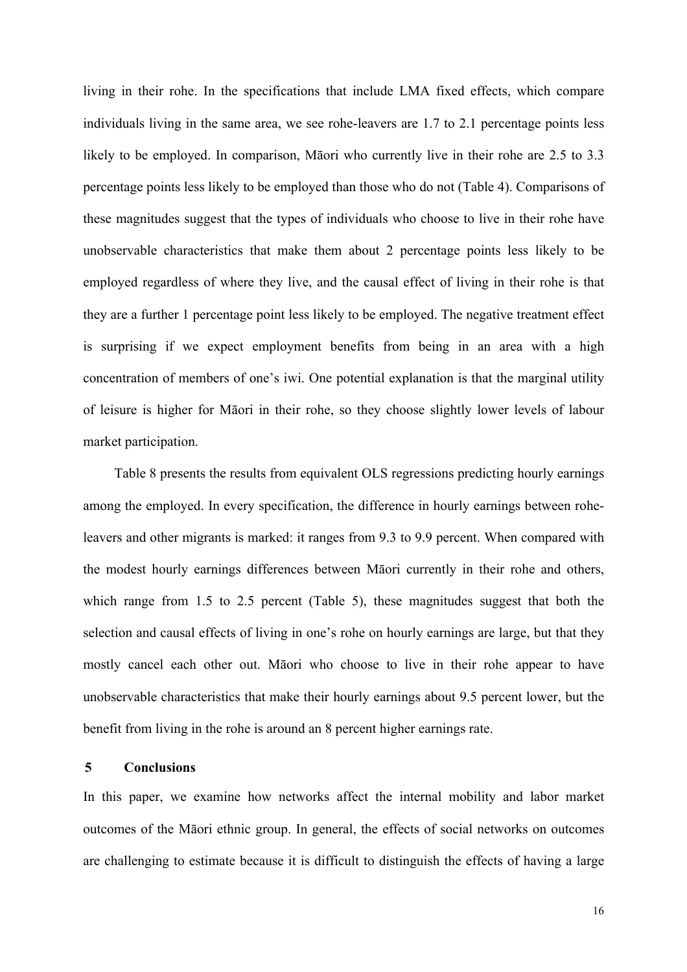living in their rohe. In the specifications that include LMA fixed effects, which compare individuals living in the same area, we see rohe-leavers are 1.7 to 2.1 percentage points less likely to be employed. In comparison, Māori who currently live in their rohe are 2.5 to 3.3 percentage points less likely to be employed than those who do not (Table 4). Comparisons of these magnitudes suggest that the types of individuals who choose to live in their rohe have unobservable characteristics that make them about 2 percentage points less likely to be employed regardless of where they live, and the causal effect of living in their rohe is that they are a further 1 percentage point less likely to be employed. The negative treatment effect is surprising if we expect employment benefits from being in an area with a high concentration of members of one's iwi. One potential explanation is that the marginal utility of leisure is higher for Māori in their rohe, so they choose slightly lower levels of labour market participation.

Table 8 presents the results from equivalent OLS regressions predicting hourly earnings among the employed. In every specification, the difference in hourly earnings between roheleavers and other migrants is marked: it ranges from 9.3 to 9.9 percent. When compared with the modest hourly earnings differences between Māori currently in their rohe and others, which range from 1.5 to 2.5 percent (Table 5), these magnitudes suggest that both the selection and causal effects of living in one's rohe on hourly earnings are large, but that they mostly cancel each other out. Māori who choose to live in their rohe appear to have unobservable characteristics that make their hourly earnings about 9.5 percent lower, but the benefit from living in the rohe is around an 8 percent higher earnings rate.

### **5 Conclusions**

In this paper, we examine how networks affect the internal mobility and labor market outcomes of the Māori ethnic group. In general, the effects of social networks on outcomes are challenging to estimate because it is difficult to distinguish the effects of having a large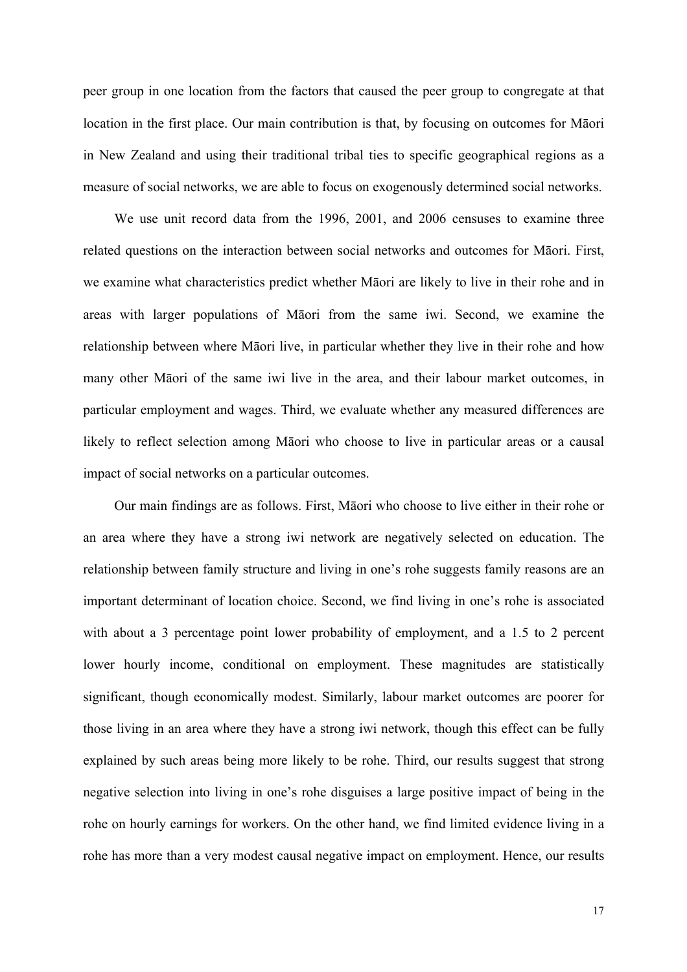peer group in one location from the factors that caused the peer group to congregate at that location in the first place. Our main contribution is that, by focusing on outcomes for Māori in New Zealand and using their traditional tribal ties to specific geographical regions as a measure of social networks, we are able to focus on exogenously determined social networks.

We use unit record data from the 1996, 2001, and 2006 censuses to examine three related questions on the interaction between social networks and outcomes for Māori. First, we examine what characteristics predict whether Māori are likely to live in their rohe and in areas with larger populations of Māori from the same iwi. Second, we examine the relationship between where Māori live, in particular whether they live in their rohe and how many other Māori of the same iwi live in the area, and their labour market outcomes, in particular employment and wages. Third, we evaluate whether any measured differences are likely to reflect selection among Māori who choose to live in particular areas or a causal impact of social networks on a particular outcomes.

Our main findings are as follows. First, Māori who choose to live either in their rohe or an area where they have a strong iwi network are negatively selected on education. The relationship between family structure and living in one's rohe suggests family reasons are an important determinant of location choice. Second, we find living in one's rohe is associated with about a 3 percentage point lower probability of employment, and a 1.5 to 2 percent lower hourly income, conditional on employment. These magnitudes are statistically significant, though economically modest. Similarly, labour market outcomes are poorer for those living in an area where they have a strong iwi network, though this effect can be fully explained by such areas being more likely to be rohe. Third, our results suggest that strong negative selection into living in one's rohe disguises a large positive impact of being in the rohe on hourly earnings for workers. On the other hand, we find limited evidence living in a rohe has more than a very modest causal negative impact on employment. Hence, our results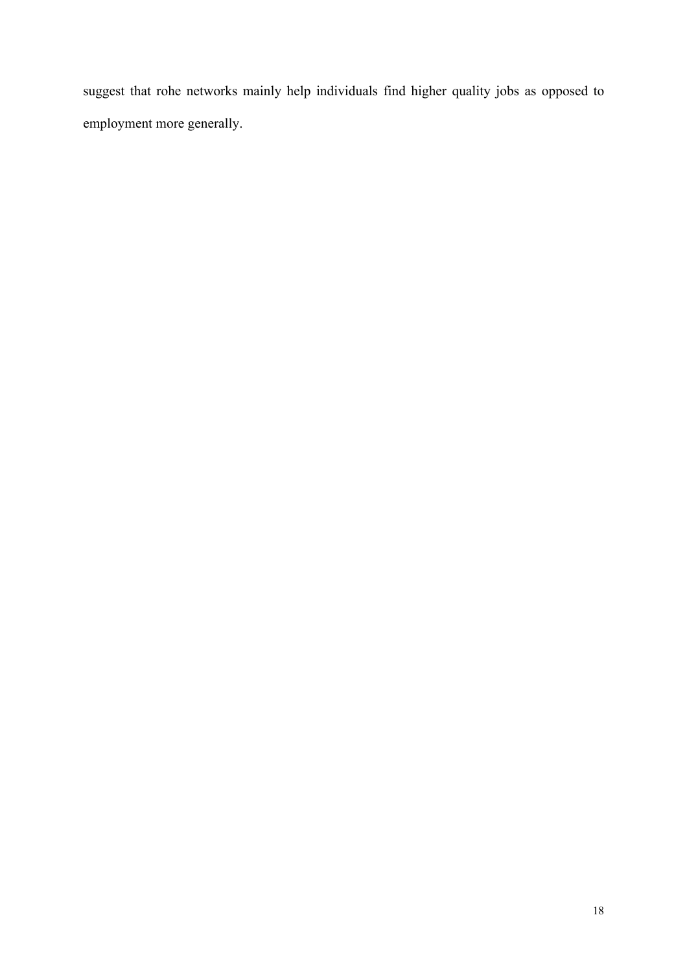suggest that rohe networks mainly help individuals find higher quality jobs as opposed to employment more generally.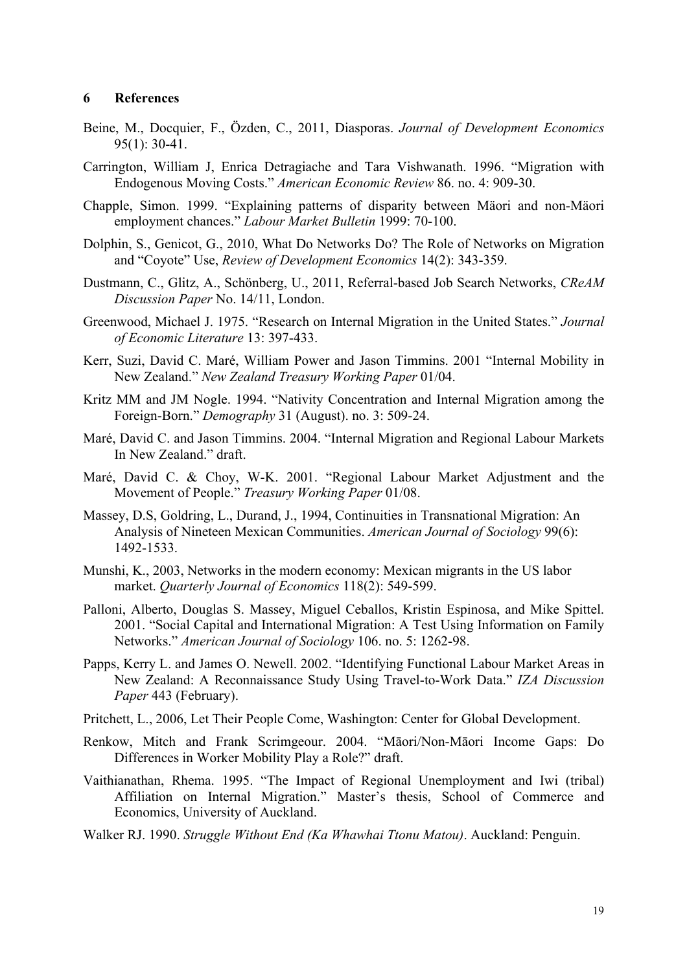# **6 References**

- Beine, M., Docquier, F., Özden, C., 2011, Diasporas. *Journal of Development Economics* 95(1): 30-41.
- Carrington, William J, Enrica Detragiache and Tara Vishwanath. 1996. "Migration with Endogenous Moving Costs." *American Economic Review* 86. no. 4: 909-30.
- Chapple, Simon. 1999. "Explaining patterns of disparity between Mäori and non-Mäori employment chances." *Labour Market Bulletin* 1999: 70-100.
- Dolphin, S., Genicot, G., 2010, What Do Networks Do? The Role of Networks on Migration and "Coyote" Use, *Review of Development Economics* 14(2): 343-359.
- Dustmann, C., Glitz, A., Schönberg, U., 2011, Referral-based Job Search Networks, *CReAM Discussion Paper* No. 14/11, London.
- Greenwood, Michael J. 1975. "Research on Internal Migration in the United States." *Journal of Economic Literature* 13: 397-433.
- Kerr, Suzi, David C. Maré, William Power and Jason Timmins. 2001 "Internal Mobility in New Zealand." *New Zealand Treasury Working Paper* 01/04.
- Kritz MM and JM Nogle. 1994. "Nativity Concentration and Internal Migration among the Foreign-Born." *Demography* 31 (August). no. 3: 509-24.
- Maré, David C. and Jason Timmins. 2004. "Internal Migration and Regional Labour Markets In New Zealand." draft.
- Maré, David C. & Choy, W-K. 2001. "Regional Labour Market Adjustment and the Movement of People." *Treasury Working Paper* 01/08.
- Massey, D.S, Goldring, L., Durand, J., 1994, Continuities in Transnational Migration: An Analysis of Nineteen Mexican Communities. *American Journal of Sociology* 99(6): 1492-1533.
- Munshi, K., 2003, Networks in the modern economy: Mexican migrants in the US labor market. *Quarterly Journal of Economics* 118(2): 549-599.
- Palloni, Alberto, Douglas S. Massey, Miguel Ceballos, Kristin Espinosa, and Mike Spittel. 2001. "Social Capital and International Migration: A Test Using Information on Family Networks." *American Journal of Sociology* 106. no. 5: 1262-98.
- Papps, Kerry L. and James O. Newell. 2002. "Identifying Functional Labour Market Areas in New Zealand: A Reconnaissance Study Using Travel-to-Work Data." *IZA Discussion Paper* 443 (February).
- Pritchett, L., 2006, Let Their People Come, Washington: Center for Global Development.
- Renkow, Mitch and Frank Scrimgeour. 2004. "Māori/Non-Māori Income Gaps: Do Differences in Worker Mobility Play a Role?" draft.
- Vaithianathan, Rhema. 1995. "The Impact of Regional Unemployment and Iwi (tribal) Affiliation on Internal Migration." Master's thesis, School of Commerce and Economics, University of Auckland.
- Walker RJ. 1990. *Struggle Without End (Ka Whawhai Ttonu Matou)*. Auckland: Penguin.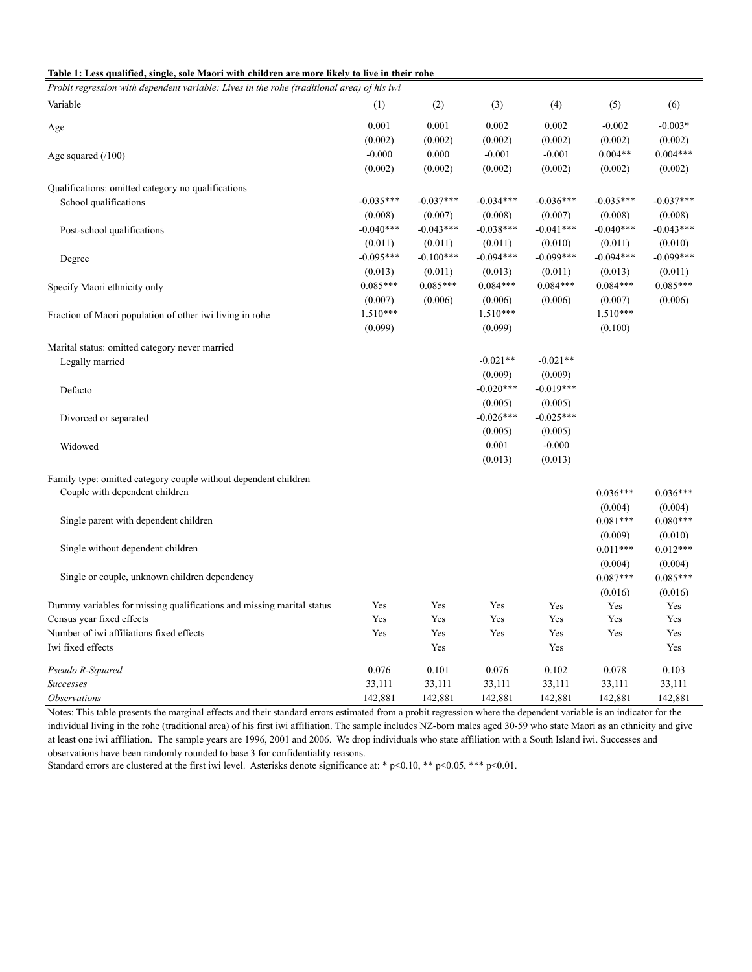|  | Table 1: Less qualified, single, sole Maori with children are more likely to live in their rohe |  |
|--|-------------------------------------------------------------------------------------------------|--|
|--|-------------------------------------------------------------------------------------------------|--|

| Probit regression with dependent variable: Lives in the rohe (traditional area) of his iwi |             |             |             |             |                       |                       |
|--------------------------------------------------------------------------------------------|-------------|-------------|-------------|-------------|-----------------------|-----------------------|
| Variable                                                                                   | (1)         | (2)         | (3)         | (4)         | (5)                   | (6)                   |
| Age                                                                                        | 0.001       | 0.001       | 0.002       | 0.002       | $-0.002$              | $-0.003*$             |
|                                                                                            | (0.002)     | (0.002)     | (0.002)     | (0.002)     | (0.002)               | (0.002)               |
| Age squared $(100)$                                                                        | $-0.000$    | 0.000       | $-0.001$    | $-0.001$    | $0.004**$             | $0.004***$            |
|                                                                                            | (0.002)     | (0.002)     | (0.002)     | (0.002)     | (0.002)               | (0.002)               |
| Qualifications: omitted category no qualifications                                         |             |             |             |             |                       |                       |
| School qualifications                                                                      | $-0.035***$ | $-0.037***$ | $-0.034***$ | $-0.036***$ | $-0.035***$           | $-0.037***$           |
|                                                                                            | (0.008)     | (0.007)     | (0.008)     | (0.007)     | (0.008)               | (0.008)               |
| Post-school qualifications                                                                 | $-0.040***$ | $-0.043***$ | $-0.038***$ | $-0.041***$ | $-0.040***$           | $-0.043***$           |
|                                                                                            | (0.011)     | (0.011)     | (0.011)     | (0.010)     | (0.011)               | (0.010)               |
| Degree                                                                                     | $-0.095***$ | $-0.100***$ | $-0.094***$ | $-0.099***$ | $-0.094***$           | $-0.099***$           |
|                                                                                            | (0.013)     | (0.011)     | (0.013)     | (0.011)     | (0.013)               | (0.011)               |
| Specify Maori ethnicity only                                                               | $0.085***$  | $0.085***$  | $0.084***$  | $0.084***$  | $0.084***$            | $0.085***$            |
|                                                                                            | (0.007)     | (0.006)     | (0.006)     | (0.006)     | (0.007)               | (0.006)               |
| Fraction of Maori population of other iwi living in rohe                                   | $1.510***$  |             | 1.510***    |             | 1.510***              |                       |
|                                                                                            | (0.099)     |             | (0.099)     |             | (0.100)               |                       |
| Marital status: omitted category never married                                             |             |             |             |             |                       |                       |
| Legally married                                                                            |             |             | $-0.021**$  | $-0.021**$  |                       |                       |
|                                                                                            |             |             | (0.009)     | (0.009)     |                       |                       |
| Defacto                                                                                    |             |             | $-0.020***$ | $-0.019***$ |                       |                       |
|                                                                                            |             |             | (0.005)     | (0.005)     |                       |                       |
| Divorced or separated                                                                      |             |             | $-0.026***$ | $-0.025***$ |                       |                       |
|                                                                                            |             |             | (0.005)     | (0.005)     |                       |                       |
| Widowed                                                                                    |             |             | 0.001       | $-0.000$    |                       |                       |
|                                                                                            |             |             | (0.013)     | (0.013)     |                       |                       |
| Family type: omitted category couple without dependent children                            |             |             |             |             |                       |                       |
| Couple with dependent children                                                             |             |             |             |             | $0.036***$            | $0.036***$            |
|                                                                                            |             |             |             |             | (0.004)               | (0.004)               |
| Single parent with dependent children                                                      |             |             |             |             | $0.081***$            | $0.080***$            |
|                                                                                            |             |             |             |             | (0.009)               | (0.010)               |
| Single without dependent children                                                          |             |             |             |             | $0.011***$            | $0.012***$            |
|                                                                                            |             |             |             |             |                       |                       |
| Single or couple, unknown children dependency                                              |             |             |             |             | (0.004)<br>$0.087***$ | (0.004)<br>$0.085***$ |
|                                                                                            |             |             |             |             |                       |                       |
| Dummy variables for missing qualifications and missing marital status                      | Yes         | Yes         | Yes         |             | (0.016)               | (0.016)               |
| Census year fixed effects                                                                  | Yes         | Yes         | Yes         | Yes<br>Yes  | Yes<br>Yes            | Yes                   |
|                                                                                            |             |             |             |             |                       | Yes                   |
| Number of iwi affiliations fixed effects                                                   | Yes         | Yes         | Yes         | Yes         | Yes                   | Yes                   |
| Iwi fixed effects                                                                          |             | Yes         |             | Yes         |                       | Yes                   |
| Pseudo R-Squared                                                                           | 0.076       | 0.101       | 0.076       | 0.102       | 0.078                 | 0.103                 |
| Successes                                                                                  | 33,111      | 33,111      | 33,111      | 33,111      | 33,111                | 33,111                |
| <i><b>Observations</b></i>                                                                 | 142,881     | 142,881     | 142,881     | 142,881     | 142,881               | 142,881               |

Notes: This table presents the marginal effects and their standard errors estimated from a probit regression where the dependent variable is an indicator for the individual living in the rohe (traditional area) of his first iwi affiliation. The sample includes NZ-born males aged 30-59 who state Maori as an ethnicity and give at least one iwi affiliation. The sample years are 1996, 2001 and 2006. We drop individuals who state affiliation with a South Island iwi. Successes and observations have been randomly rounded to base 3 for confidentiality reasons.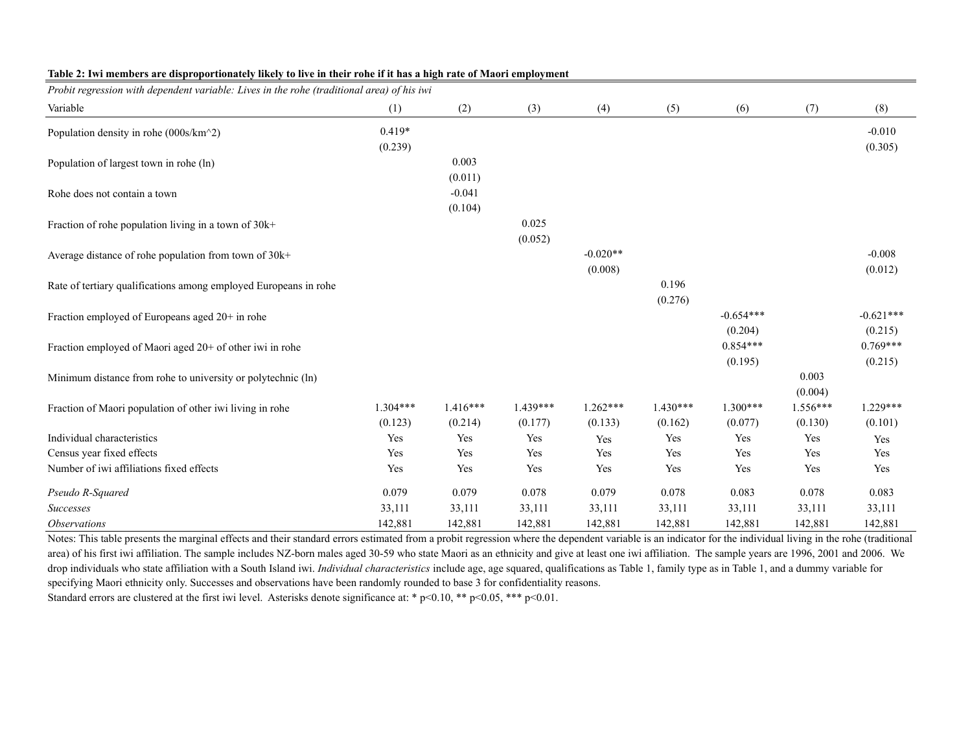| Probit regression with dependent variable: Lives in the rohe (traditional area) of his iwi |            |            |            |            |            |             |          |             |
|--------------------------------------------------------------------------------------------|------------|------------|------------|------------|------------|-------------|----------|-------------|
| Variable                                                                                   | (1)        | (2)        | (3)        | (4)        | (5)        | (6)         | (7)      | (8)         |
| Population density in rohe (000s/km^2)                                                     | $0.419*$   |            |            |            |            |             |          | $-0.010$    |
|                                                                                            | (0.239)    |            |            |            |            |             |          | (0.305)     |
| Population of largest town in rohe (ln)                                                    |            | 0.003      |            |            |            |             |          |             |
|                                                                                            |            | (0.011)    |            |            |            |             |          |             |
| Rohe does not contain a town                                                               |            | $-0.041$   |            |            |            |             |          |             |
|                                                                                            |            | (0.104)    |            |            |            |             |          |             |
| Fraction of rohe population living in a town of 30k+                                       |            |            | 0.025      |            |            |             |          |             |
|                                                                                            |            |            | (0.052)    |            |            |             |          |             |
| Average distance of rohe population from town of 30k+                                      |            |            |            | $-0.020**$ |            |             |          | $-0.008$    |
|                                                                                            |            |            |            | (0.008)    |            |             |          | (0.012)     |
| Rate of tertiary qualifications among employed Europeans in rohe                           |            |            |            |            | 0.196      |             |          |             |
|                                                                                            |            |            |            |            | (0.276)    |             |          |             |
| Fraction employed of Europeans aged 20+ in rohe                                            |            |            |            |            |            | $-0.654***$ |          | $-0.621***$ |
|                                                                                            |            |            |            |            |            | (0.204)     |          | (0.215)     |
| Fraction employed of Maori aged 20+ of other iwi in rohe                                   |            |            |            |            |            | $0.854***$  |          | $0.769***$  |
|                                                                                            |            |            |            |            |            | (0.195)     |          | (0.215)     |
| Minimum distance from rohe to university or polytechnic (ln)                               |            |            |            |            |            |             | 0.003    |             |
|                                                                                            |            |            |            |            |            |             | (0.004)  |             |
| Fraction of Maori population of other iwi living in rohe                                   | $1.304***$ | $1.416***$ | $1.439***$ | $1.262***$ | $1.430***$ | $1.300***$  | 1.556*** | $1.229***$  |
|                                                                                            | (0.123)    | (0.214)    | (0.177)    | (0.133)    | (0.162)    | (0.077)     | (0.130)  | (0.101)     |
| Individual characteristics                                                                 | Yes        | Yes        | Yes        | Yes        | Yes        | Yes         | Yes      | Yes         |
| Census year fixed effects                                                                  | Yes        | Yes        | Yes        | Yes        | Yes        | Yes         | Yes      | Yes         |
| Number of iwi affiliations fixed effects                                                   | Yes        | Yes        | Yes        | Yes        | Yes        | Yes         | Yes      | Yes         |
| Pseudo R-Squared                                                                           | 0.079      | 0.079      | 0.078      | 0.079      | 0.078      | 0.083       | 0.078    | 0.083       |
| Successes                                                                                  | 33,111     | 33,111     | 33,111     | 33,111     | 33,111     | 33,111      | 33,111   | 33,111      |
| <i><b>Observations</b></i>                                                                 | 142,881    | 142,881    | 142,881    | 142,881    | 142,881    | 142,881     | 142,881  | 142,881     |

#### **Table 2: Iwi members are disproportionately likely to live in their rohe if it has a high rate of Maori employment**

Notes: This table presents the marginal effects and their standard errors estimated from a probit regression where the dependent variable is an indicator for the individual living in the rohe (traditional area) of his first iwi affiliation. The sample includes NZ-born males aged 30-59 who state Maori as an ethnicity and give at least one iwi affiliation. The sample years are 1996, 2001 and 2006. We drop individuals who state affiliation with a South Island iwi. *Individual characteristics* include age, age squared, qualifications as Table 1, family type as in Table 1, and a dummy variable for specifying Maori ethnicity only. Successes and observations have been randomly rounded to base 3 for confidentiality reasons.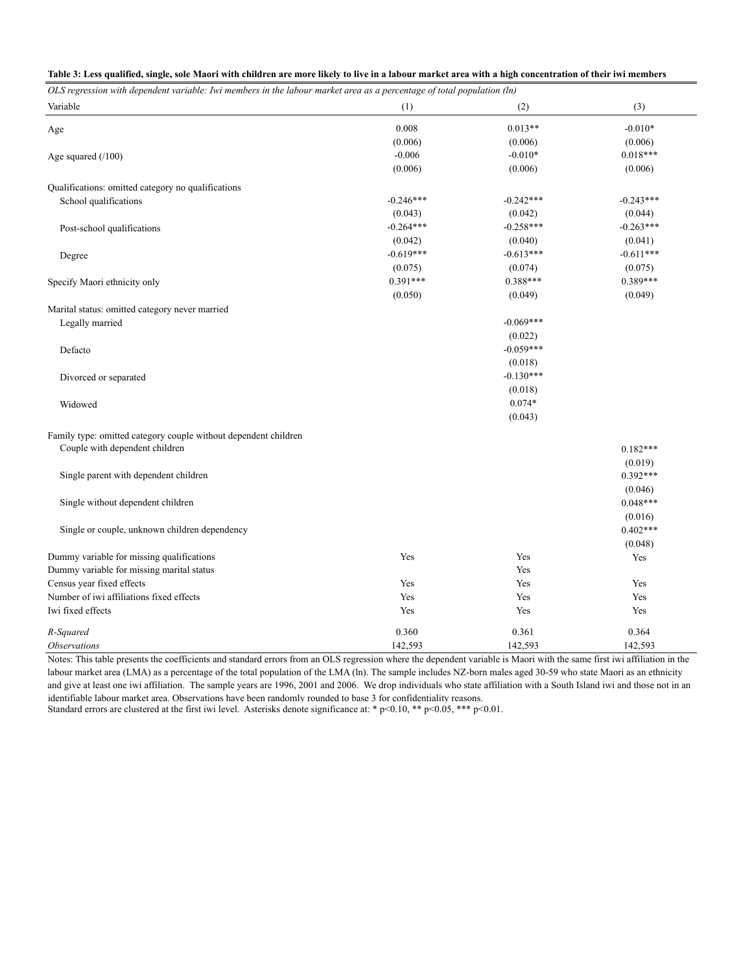|  |  |  | Table 3: Less qualified, single, sole Maori with children are more likely to live in a labour market area with a high concentration of their iwi members |
|--|--|--|----------------------------------------------------------------------------------------------------------------------------------------------------------|
|  |  |  |                                                                                                                                                          |
|  |  |  |                                                                                                                                                          |
|  |  |  |                                                                                                                                                          |

| OLS regression with dependent variable: Iwi members in the labour market area as a percentage of total population (ln) |             |             |             |
|------------------------------------------------------------------------------------------------------------------------|-------------|-------------|-------------|
| Variable                                                                                                               | (1)         | (2)         | (3)         |
| Age                                                                                                                    | 0.008       | $0.013**$   | $-0.010*$   |
|                                                                                                                        | (0.006)     | (0.006)     | (0.006)     |
| Age squared $(100)$                                                                                                    | $-0.006$    | $-0.010*$   | $0.018***$  |
|                                                                                                                        | (0.006)     | (0.006)     | (0.006)     |
| Qualifications: omitted category no qualifications                                                                     |             |             |             |
| School qualifications                                                                                                  | $-0.246***$ | $-0.242***$ | $-0.243***$ |
|                                                                                                                        | (0.043)     | (0.042)     | (0.044)     |
| Post-school qualifications                                                                                             | $-0.264***$ | $-0.258***$ | $-0.263***$ |
|                                                                                                                        | (0.042)     | (0.040)     | (0.041)     |
| Degree                                                                                                                 | $-0.619***$ | $-0.613***$ | $-0.611***$ |
|                                                                                                                        | (0.075)     | (0.074)     | (0.075)     |
| Specify Maori ethnicity only                                                                                           | $0.391***$  | 0.388***    | 0.389***    |
|                                                                                                                        | (0.050)     | (0.049)     | (0.049)     |
| Marital status: omitted category never married                                                                         |             |             |             |
| Legally married                                                                                                        |             | $-0.069***$ |             |
|                                                                                                                        |             | (0.022)     |             |
| Defacto                                                                                                                |             | $-0.059***$ |             |
|                                                                                                                        |             | (0.018)     |             |
| Divorced or separated                                                                                                  |             | $-0.130***$ |             |
|                                                                                                                        |             | (0.018)     |             |
| Widowed                                                                                                                |             | $0.074*$    |             |
|                                                                                                                        |             | (0.043)     |             |
| Family type: omitted category couple without dependent children                                                        |             |             |             |
| Couple with dependent children                                                                                         |             |             | $0.182***$  |
|                                                                                                                        |             |             | (0.019)     |
| Single parent with dependent children                                                                                  |             |             | $0.392***$  |
|                                                                                                                        |             |             | (0.046)     |
| Single without dependent children                                                                                      |             |             | $0.048***$  |
|                                                                                                                        |             |             | (0.016)     |
| Single or couple, unknown children dependency                                                                          |             |             | $0.402***$  |
|                                                                                                                        |             |             | (0.048)     |
| Dummy variable for missing qualifications                                                                              | Yes         | Yes         | Yes         |
| Dummy variable for missing marital status                                                                              |             | Yes         |             |
| Census year fixed effects                                                                                              | Yes         | Yes         | Yes         |
| Number of iwi affiliations fixed effects                                                                               | Yes         | Yes         | Yes         |
| Iwi fixed effects                                                                                                      | Yes         | Yes         | Yes         |
| R-Squared                                                                                                              | 0.360       | 0.361       | 0.364       |
| <i><b>Observations</b></i>                                                                                             | 142,593     | 142,593     | 142,593     |

Notes: This table presents the coefficients and standard errors from an OLS regression where the dependent variable is Maori with the same first iwi affiliation in the labour market area (LMA) as a percentage of the total population of the LMA (ln). The sample includes NZ-born males aged 30-59 who state Maori as an ethnicity and give at least one iwi affiliation. The sample years are 1996, 2001 and 2006. We drop individuals who state affiliation with a South Island iwi and those not in an identifiable labour market area. Observations have been randomly rounded to base 3 for confidentiality reasons.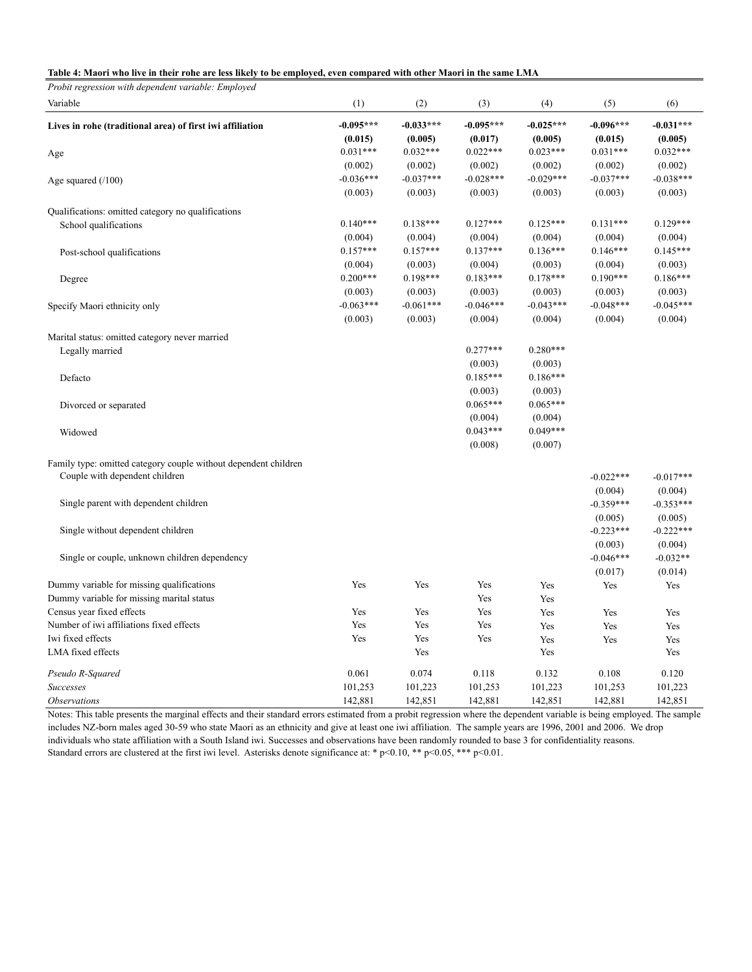#### **Table 4: Maori who live in their rohe are less likely to be employed, even compared with other Maori in the same LMA**

*Probit regression with dependent variable: Employed*

| Variable                                                        | (1)         | (2)         | (3)         | (4)         | (5)                    | (6)                   |
|-----------------------------------------------------------------|-------------|-------------|-------------|-------------|------------------------|-----------------------|
| Lives in rohe (traditional area) of first iwi affiliation       | $-0.095***$ | $-0.033***$ | $-0.095***$ | $-0.025***$ | $-0.096***$            | $-0.031***$           |
|                                                                 | (0.015)     | (0.005)     | (0.017)     | (0.005)     | (0.015)                | (0.005)               |
| Age                                                             | $0.031***$  | $0.032***$  | $0.022***$  | $0.023***$  | $0.031***$             | $0.032***$            |
|                                                                 | (0.002)     | (0.002)     | (0.002)     | (0.002)     | (0.002)                | (0.002)               |
| Age squared $(100)$                                             | $-0.036***$ | $-0.037***$ | $-0.028***$ | $-0.029***$ | $-0.037***$            | $-0.038***$           |
|                                                                 | (0.003)     | (0.003)     | (0.003)     | (0.003)     | (0.003)                | (0.003)               |
| Qualifications: omitted category no qualifications              |             |             |             |             |                        |                       |
| School qualifications                                           | $0.140***$  | $0.138***$  | $0.127***$  | $0.125***$  | $0.131***$             | $0.129***$            |
|                                                                 | (0.004)     | (0.004)     | (0.004)     | (0.004)     | (0.004)                | (0.004)               |
| Post-school qualifications                                      | $0.157***$  | $0.157***$  | $0.137***$  | $0.136***$  | $0.146***$             | $0.145***$            |
|                                                                 | (0.004)     | (0.003)     | (0.004)     | (0.003)     | (0.004)                | (0.003)               |
| Degree                                                          | $0.200***$  | $0.198***$  | $0.183***$  | $0.178***$  | $0.190***$             | $0.186***$            |
|                                                                 | (0.003)     | (0.003)     | (0.003)     | (0.003)     | (0.003)                | (0.003)               |
| Specify Maori ethnicity only                                    | $-0.063***$ | $-0.061***$ | $-0.046***$ | $-0.043***$ | $-0.048***$            | $-0.045***$           |
|                                                                 | (0.003)     | (0.003)     | (0.004)     | (0.004)     | (0.004)                | (0.004)               |
| Marital status: omitted category never married                  |             |             |             |             |                        |                       |
| Legally married                                                 |             |             | $0.277***$  | $0.280***$  |                        |                       |
|                                                                 |             |             | (0.003)     | (0.003)     |                        |                       |
| Defacto                                                         |             |             | $0.185***$  | $0.186***$  |                        |                       |
|                                                                 |             |             | (0.003)     | (0.003)     |                        |                       |
| Divorced or separated                                           |             |             | $0.065***$  | $0.065***$  |                        |                       |
|                                                                 |             |             | (0.004)     | (0.004)     |                        |                       |
| Widowed                                                         |             |             | $0.043***$  | $0.049***$  |                        |                       |
|                                                                 |             |             | (0.008)     | (0.007)     |                        |                       |
| Family type: omitted category couple without dependent children |             |             |             |             |                        |                       |
| Couple with dependent children                                  |             |             |             |             | $-0.022***$            | $-0.017***$           |
|                                                                 |             |             |             |             | (0.004)                | (0.004)               |
| Single parent with dependent children                           |             |             |             |             | $-0.359***$            | $-0.353***$           |
|                                                                 |             |             |             |             | (0.005)                | (0.005)               |
| Single without dependent children                               |             |             |             |             | $-0.223***$            | $-0.222***$           |
|                                                                 |             |             |             |             |                        |                       |
| Single or couple, unknown children dependency                   |             |             |             |             | (0.003)<br>$-0.046***$ | (0.004)<br>$-0.032**$ |
|                                                                 |             |             |             |             |                        |                       |
| Dummy variable for missing qualifications                       | Yes         | Yes         | Yes         | Yes         | (0.017)<br>Yes         | (0.014)<br>Yes        |
| Dummy variable for missing marital status                       |             |             | Yes         | Yes         |                        |                       |
| Census year fixed effects                                       | Yes         | Yes         | Yes         | Yes         |                        |                       |
| Number of iwi affiliations fixed effects                        | Yes         | Yes         | Yes         | Yes         | Yes                    | Yes<br>Yes            |
| Iwi fixed effects                                               | Yes         | Yes         | Yes         | Yes         | Yes                    |                       |
| LMA fixed effects                                               |             | Yes         |             | Yes         | Yes                    | Yes<br>Yes            |
|                                                                 |             |             |             |             |                        |                       |
| Pseudo R-Squared                                                | 0.061       | 0.074       | 0.118       | 0.132       | 0.108                  | 0.120                 |
| <b>Successes</b>                                                | 101,253     | 101,223     | 101,253     | 101,223     | 101,253                | 101,223               |
| <i><b>Observations</b></i>                                      | 142,881     | 142,851     | 142,881     | 142,851     | 142,881                | 142,851               |

Notes: This table presents the marginal effects and their standard errors estimated from a probit regression where the dependent variable is being employed. The sample includes NZ-born males aged 30-59 who state Maori as an ethnicity and give at least one iwi affiliation. The sample years are 1996, 2001 and 2006. We drop individuals who state affiliation with a South Island iwi. Successes and observations have been randomly rounded to base 3 for confidentiality reasons. Standard errors are clustered at the first iwi level. Asterisks denote significance at: \* p<0.10, \*\* p<0.05, \*\*\* p<0.01.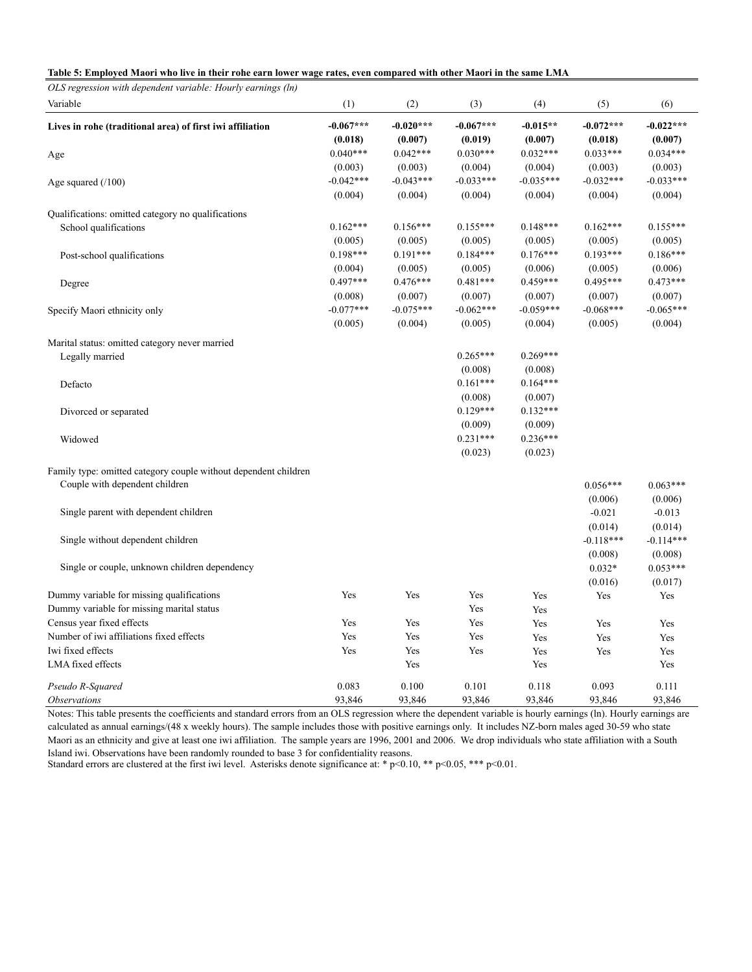|  |  |  |  |  | Table 5: Employed Maori who live in their rohe earn lower wage rates, even compared with other Maori in the same LMA |
|--|--|--|--|--|----------------------------------------------------------------------------------------------------------------------|
|--|--|--|--|--|----------------------------------------------------------------------------------------------------------------------|

| OLS regression with dependent variable: Hourly earnings (ln)                                      |                        |                        |                                  |                                  |                                   |                                   |
|---------------------------------------------------------------------------------------------------|------------------------|------------------------|----------------------------------|----------------------------------|-----------------------------------|-----------------------------------|
| Variable                                                                                          | (1)                    | (2)                    | (3)                              | (4)                              | (5)                               | (6)                               |
| Lives in rohe (traditional area) of first iwi affiliation                                         | $-0.067***$<br>(0.018) | $-0.020***$<br>(0.007) | $-0.067***$<br>(0.019)           | $-0.015**$<br>(0.007)            | $-0.072***$<br>(0.018)            | $-0.022***$<br>(0.007)            |
| Age                                                                                               | $0.040***$<br>(0.003)  | $0.042***$<br>(0.003)  | $0.030***$<br>(0.004)            | $0.032***$<br>(0.004)            | $0.033***$<br>(0.003)             | $0.034***$<br>(0.003)             |
| Age squared $(100)$                                                                               | $-0.042***$<br>(0.004) | $-0.043***$<br>(0.004) | $-0.033***$<br>(0.004)           | $-0.035***$<br>(0.004)           | $-0.032***$<br>(0.004)            | $-0.033***$<br>(0.004)            |
| Qualifications: omitted category no qualifications                                                |                        |                        |                                  |                                  |                                   |                                   |
| School qualifications                                                                             | $0.162***$<br>(0.005)  | $0.156***$<br>(0.005)  | $0.155***$<br>(0.005)            | $0.148***$<br>(0.005)            | $0.162***$<br>(0.005)             | $0.155***$<br>(0.005)             |
| Post-school qualifications                                                                        | $0.198***$<br>(0.004)  | $0.191***$<br>(0.005)  | $0.184***$<br>(0.005)            | $0.176***$<br>(0.006)            | $0.193***$<br>(0.005)             | $0.186***$<br>(0.006)             |
| Degree                                                                                            | $0.497***$<br>(0.008)  | $0.476***$<br>(0.007)  | $0.481***$<br>(0.007)            | $0.459***$<br>(0.007)            | $0.495***$<br>(0.007)             | $0.473***$<br>(0.007)             |
| Specify Maori ethnicity only                                                                      | $-0.077***$<br>(0.005) | $-0.075***$<br>(0.004) | $-0.062***$<br>(0.005)           | $-0.059***$<br>(0.004)           | $-0.068***$<br>(0.005)            | $-0.065***$<br>(0.004)            |
| Marital status: omitted category never married                                                    |                        |                        |                                  |                                  |                                   |                                   |
| Legally married                                                                                   |                        |                        | $0.265***$<br>(0.008)            | $0.269***$<br>(0.008)            |                                   |                                   |
| Defacto                                                                                           |                        |                        | $0.161***$<br>(0.008)            | $0.164***$<br>(0.007)            |                                   |                                   |
| Divorced or separated                                                                             |                        |                        | $0.129***$                       | $0.132***$                       |                                   |                                   |
| Widowed                                                                                           |                        |                        | (0.009)<br>$0.231***$<br>(0.023) | (0.009)<br>$0.236***$<br>(0.023) |                                   |                                   |
| Family type: omitted category couple without dependent children<br>Couple with dependent children |                        |                        |                                  |                                  | $0.056***$                        | $0.063***$                        |
| Single parent with dependent children                                                             |                        |                        |                                  |                                  | (0.006)<br>$-0.021$               | (0.006)<br>$-0.013$               |
| Single without dependent children                                                                 |                        |                        |                                  |                                  | (0.014)<br>$-0.118***$<br>(0.008) | (0.014)<br>$-0.114***$<br>(0.008) |
| Single or couple, unknown children dependency                                                     |                        |                        |                                  |                                  | $0.032*$<br>(0.016)               | $0.053***$<br>(0.017)             |
| Dummy variable for missing qualifications<br>Dummy variable for missing marital status            | Yes                    | Yes                    | Yes<br>Yes                       | Yes<br>Yes                       | Yes                               | Yes                               |
| Census year fixed effects                                                                         | Yes                    | Yes                    | Yes                              | Yes                              | Yes                               | Yes                               |
| Number of iwi affiliations fixed effects                                                          | Yes                    | Yes                    | Yes                              | Yes                              | Yes                               | Yes                               |
| Iwi fixed effects                                                                                 | Yes                    | Yes                    | Yes                              | Yes                              | Yes                               | Yes                               |
| LMA fixed effects                                                                                 |                        | Yes                    |                                  | Yes                              |                                   | Yes                               |
| Pseudo R-Squared                                                                                  | 0.083                  | 0.100                  | 0.101                            | 0.118                            | 0.093                             | 0.111                             |
| <i><b>Observations</b></i>                                                                        | 93,846                 | 93,846                 | 93,846                           | 93,846                           | 93,846                            | 93,846                            |

Notes: This table presents the coefficients and standard errors from an OLS regression where the dependent variable is hourly earnings (ln). Hourly earnings are calculated as annual earnings/(48 x weekly hours). The sample includes those with positive earnings only. It includes NZ-born males aged 30-59 who state Maori as an ethnicity and give at least one iwi affiliation. The sample years are 1996, 2001 and 2006. We drop individuals who state affiliation with a South Island iwi. Observations have been randomly rounded to base 3 for confidentiality reasons.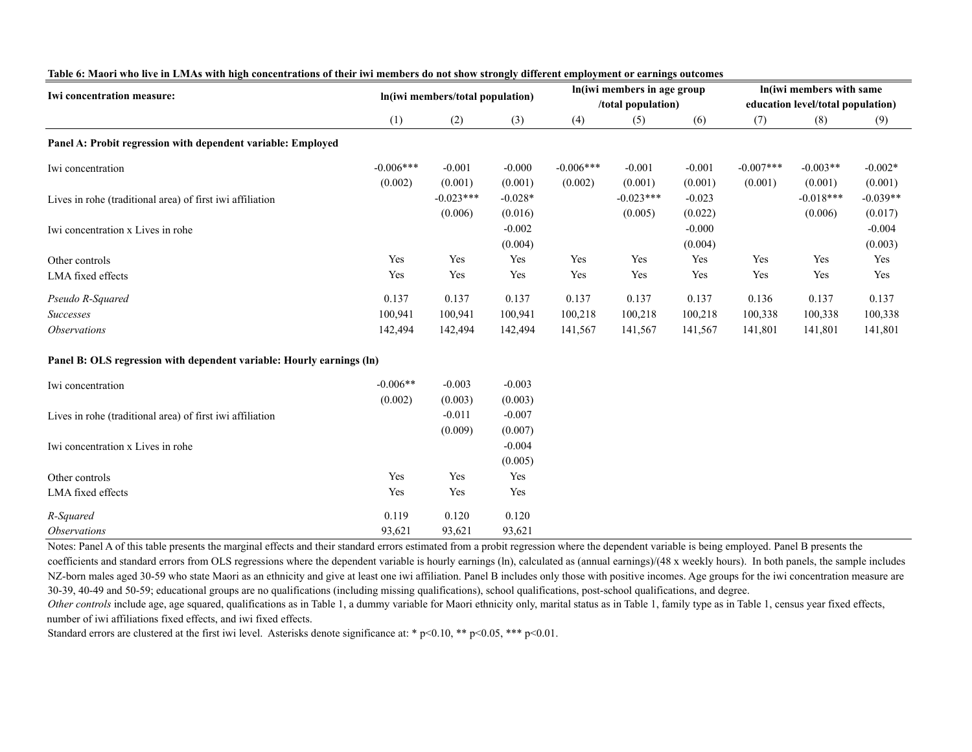| Iwi concentration measure:                                            |             |                                  |           |             | In (iwi members in age group |          |             | In(iwi members with same          |            |
|-----------------------------------------------------------------------|-------------|----------------------------------|-----------|-------------|------------------------------|----------|-------------|-----------------------------------|------------|
|                                                                       |             | In(iwi members/total population) |           |             | /total population)           |          |             | education level/total population) |            |
|                                                                       | (1)         | (2)                              | (3)       | (4)         | (5)                          | (6)      | (7)         | (8)                               | (9)        |
| Panel A: Probit regression with dependent variable: Employed          |             |                                  |           |             |                              |          |             |                                   |            |
| Iwi concentration                                                     | $-0.006***$ | $-0.001$                         | $-0.000$  | $-0.006***$ | $-0.001$                     | $-0.001$ | $-0.007***$ | $-0.003**$                        | $-0.002*$  |
|                                                                       | (0.002)     | (0.001)                          | (0.001)   | (0.002)     | (0.001)                      | (0.001)  | (0.001)     | (0.001)                           | (0.001)    |
| Lives in rohe (traditional area) of first iwi affiliation             |             | $-0.023***$                      | $-0.028*$ |             | $-0.023***$                  | $-0.023$ |             | $-0.018***$                       | $-0.039**$ |
|                                                                       |             | (0.006)                          | (0.016)   |             | (0.005)                      | (0.022)  |             | (0.006)                           | (0.017)    |
| Iwi concentration x Lives in rohe                                     |             |                                  | $-0.002$  |             |                              | $-0.000$ |             |                                   | $-0.004$   |
|                                                                       |             |                                  | (0.004)   |             |                              | (0.004)  |             |                                   | (0.003)    |
| Other controls                                                        | Yes         | Yes                              | Yes       | Yes         | Yes                          | Yes      | Yes         | Yes                               | Yes        |
| LMA fixed effects                                                     | Yes         | Yes                              | Yes       | Yes         | Yes                          | Yes      | Yes         | Yes                               | Yes        |
| Pseudo R-Squared                                                      | 0.137       | 0.137                            | 0.137     | 0.137       | 0.137                        | 0.137    | 0.136       | 0.137                             | 0.137      |
| <b>Successes</b>                                                      | 100,941     | 100,941                          | 100,941   | 100,218     | 100,218                      | 100,218  | 100,338     | 100,338                           | 100,338    |
| <i><b>Observations</b></i>                                            | 142,494     | 142,494                          | 142,494   | 141,567     | 141,567                      | 141,567  | 141,801     | 141,801                           | 141,801    |
| Panel B: OLS regression with dependent variable: Hourly earnings (ln) |             |                                  |           |             |                              |          |             |                                   |            |
| Iwi concentration                                                     | $-0.006**$  | $-0.003$                         | $-0.003$  |             |                              |          |             |                                   |            |
|                                                                       | (0.002)     | (0.003)                          | (0.003)   |             |                              |          |             |                                   |            |
| Lives in rohe (traditional area) of first iwi affiliation             |             | $-0.011$                         | $-0.007$  |             |                              |          |             |                                   |            |
|                                                                       |             | (0.009)                          | (0.007)   |             |                              |          |             |                                   |            |
| Iwi concentration x Lives in rohe                                     |             |                                  | $-0.004$  |             |                              |          |             |                                   |            |
|                                                                       |             |                                  | (0.005)   |             |                              |          |             |                                   |            |
| Other controls                                                        | Yes         | Yes                              | Yes       |             |                              |          |             |                                   |            |
| LMA fixed effects                                                     | Yes         | Yes                              | Yes       |             |                              |          |             |                                   |            |
| R-Squared                                                             | 0.119       | 0.120                            | 0.120     |             |                              |          |             |                                   |            |
| <i><b>Observations</b></i>                                            | 93,621      | 93,621                           | 93,621    |             |                              |          |             |                                   |            |

#### **Table 6: Maori who live in LMAs with high concentrations of their iwi members do not show strongly different employment or earnings outcomes**

Notes: Panel A of this table presents the marginal effects and their standard errors estimated from a probit regression where the dependent variable is being employed. Panel B presents the coefficients and standard errors from OLS regressions where the dependent variable is hourly earnings (ln), calculated as (annual earnings)/(48 x weekly hours). In both panels, the sample includes NZ-born males aged 30-59 who state Maori as an ethnicity and give at least one iwi affiliation. Panel B includes only those with positive incomes. Age groups for the iwi concentration measure are 30-39, 40-49 and 50-59; educational groups are no qualifications (including missing qualifications), school qualifications, post-school qualifications, and degree.

Other controls include age, age squared, qualifications as in Table 1, a dummy variable for Maori ethnicity only, marital status as in Table 1, family type as in Table 1, census year fixed effects, number of iwi affiliations fixed effects, and iwi fixed effects.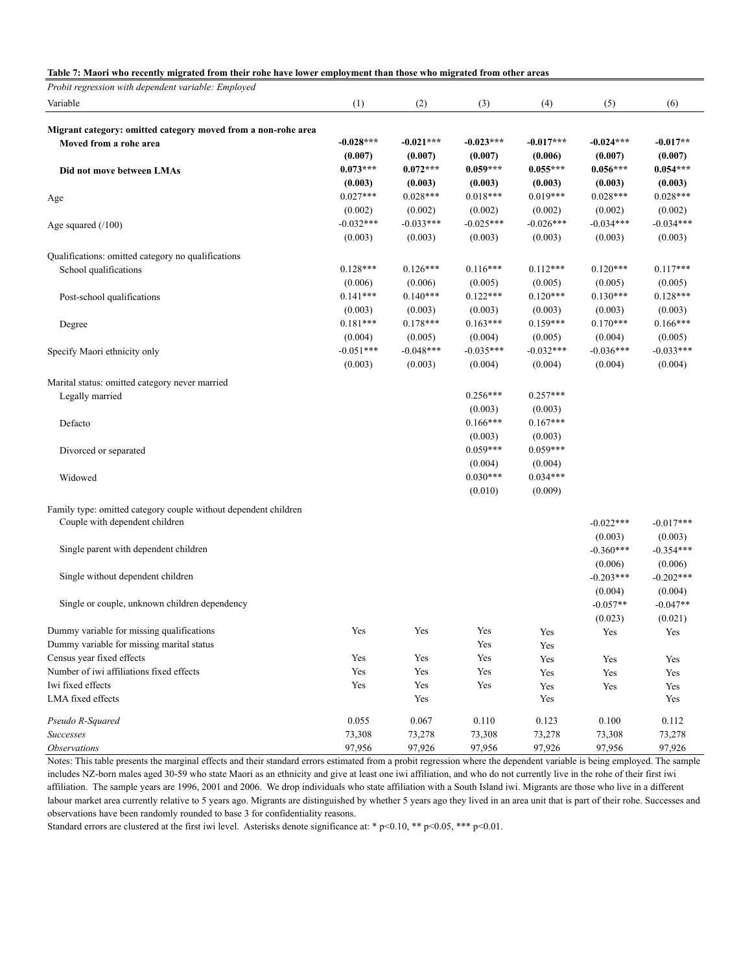#### **Table 7: Maori who recently migrated from their rohe have lower employment than those who migrated from other areas**

*Probit regression with dependent variable: Employed*

| Variable                                                        | (1)         | (2)         | (3)         | (4)         | (5)         | (6)         |
|-----------------------------------------------------------------|-------------|-------------|-------------|-------------|-------------|-------------|
|                                                                 |             |             |             |             |             |             |
| Migrant category: omitted category moved from a non-rohe area   | $-0.028***$ | $-0.021***$ | $-0.023***$ | $-0.017***$ | $-0.024***$ | $-0.017**$  |
| Moved from a rohe area                                          | (0.007)     | (0.007)     | (0.007)     | (0.006)     | (0.007)     | (0.007)     |
|                                                                 | $0.073***$  | $0.072***$  | $0.059***$  | $0.055***$  | $0.056***$  | $0.054***$  |
| Did not move between LMAs                                       | (0.003)     | (0.003)     | (0.003)     | (0.003)     | (0.003)     | (0.003)     |
|                                                                 | $0.027***$  | $0.028***$  | $0.018***$  | $0.019***$  | $0.028***$  | $0.028***$  |
| Age                                                             | (0.002)     | (0.002)     | (0.002)     | (0.002)     | (0.002)     | (0.002)     |
|                                                                 | $-0.032***$ | $-0.033***$ | $-0.025***$ | $-0.026***$ | $-0.034***$ | $-0.034***$ |
| Age squared $(100)$                                             |             |             |             |             |             |             |
|                                                                 | (0.003)     | (0.003)     | (0.003)     | (0.003)     | (0.003)     | (0.003)     |
| Qualifications: omitted category no qualifications              |             |             |             |             |             |             |
| School qualifications                                           | $0.128***$  | $0.126***$  | $0.116***$  | $0.112***$  | $0.120***$  | $0.117***$  |
|                                                                 | (0.006)     | (0.006)     | (0.005)     | (0.005)     | (0.005)     | (0.005)     |
| Post-school qualifications                                      | $0.141***$  | $0.140***$  | $0.122***$  | $0.120***$  | $0.130***$  | $0.128***$  |
|                                                                 | (0.003)     | (0.003)     | (0.003)     | (0.003)     | (0.003)     | (0.003)     |
| Degree                                                          | $0.181***$  | $0.178***$  | $0.163***$  | $0.159***$  | $0.170***$  | $0.166***$  |
|                                                                 | (0.004)     | (0.005)     | (0.004)     | (0.005)     | (0.004)     | (0.005)     |
| Specify Maori ethnicity only                                    | $-0.051***$ | $-0.048***$ | $-0.035***$ | $-0.032***$ | $-0.036***$ | $-0.033***$ |
|                                                                 | (0.003)     | (0.003)     | (0.004)     | (0.004)     | (0.004)     | (0.004)     |
|                                                                 |             |             |             |             |             |             |
| Marital status: omitted category never married                  |             |             | $0.256***$  | $0.257***$  |             |             |
| Legally married                                                 |             |             | (0.003)     | (0.003)     |             |             |
|                                                                 |             |             | $0.166***$  | $0.167***$  |             |             |
| Defacto                                                         |             |             |             |             |             |             |
|                                                                 |             |             | (0.003)     | (0.003)     |             |             |
| Divorced or separated                                           |             |             | $0.059***$  | $0.059***$  |             |             |
|                                                                 |             |             | (0.004)     | (0.004)     |             |             |
| Widowed                                                         |             |             | $0.030***$  | $0.034***$  |             |             |
|                                                                 |             |             | (0.010)     | (0.009)     |             |             |
| Family type: omitted category couple without dependent children |             |             |             |             |             |             |
| Couple with dependent children                                  |             |             |             |             | $-0.022***$ | $-0.017***$ |
|                                                                 |             |             |             |             | (0.003)     | (0.003)     |
| Single parent with dependent children                           |             |             |             |             | $-0.360***$ | $-0.354***$ |
|                                                                 |             |             |             |             | (0.006)     | (0.006)     |
| Single without dependent children                               |             |             |             |             | $-0.203***$ | $-0.202***$ |
|                                                                 |             |             |             |             | (0.004)     | (0.004)     |
| Single or couple, unknown children dependency                   |             |             |             |             | $-0.057**$  | $-0.047**$  |
|                                                                 |             |             |             |             | (0.023)     | (0.021)     |
| Dummy variable for missing qualifications                       | Yes         | Yes         | Yes         | Yes         | Yes         | Yes         |
| Dummy variable for missing marital status                       |             |             | Yes         | Yes         |             |             |
| Census year fixed effects                                       | Yes         | Yes         | Yes         | Yes         | Yes         | Yes         |
| Number of iwi affiliations fixed effects                        | Yes         | Yes         | Yes         | Yes         | Yes         | Yes         |
| Iwi fixed effects                                               | Yes         | Yes         | Yes         | Yes         | Yes         | Yes         |
| LMA fixed effects                                               |             | Yes         |             | Yes         |             | Yes         |
|                                                                 |             |             |             |             |             |             |
| Pseudo R-Squared                                                | 0.055       | 0.067       | 0.110       | 0.123       | 0.100       | 0.112       |
| Successes                                                       | 73,308      | 73,278      | 73,308      | 73,278      | 73,308      | 73,278      |
| <b>Observations</b>                                             | 97,956      | 97,926      | 97,956      | 97,926      | 97,956      | 97,926      |

Notes: This table presents the marginal effects and their standard errors estimated from a probit regression where the dependent variable is being employed. The sample includes NZ-born males aged 30-59 who state Maori as an ethnicity and give at least one iwi affiliation, and who do not currently live in the rohe of their first iwi affiliation. The sample years are 1996, 2001 and 2006. We drop individuals who state affiliation with a South Island iwi. Migrants are those who live in a different labour market area currently relative to 5 years ago. Migrants are distinguished by whether 5 years ago they lived in an area unit that is part of their rohe. Successes and observations have been randomly rounded to base 3 for confidentiality reasons.